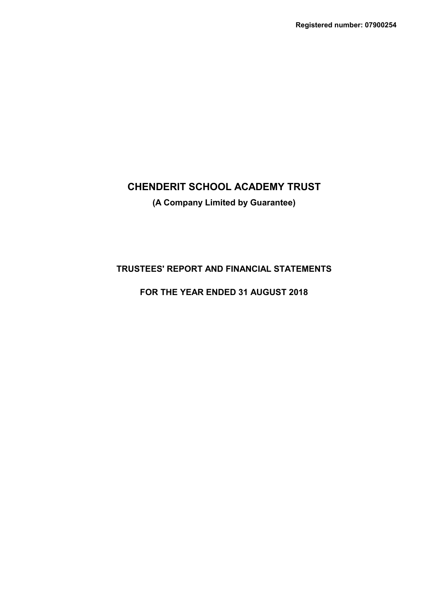# **CHENDERIT SCHOOL ACADEMY TRUST (A Company Limited by Guarantee)**

## **TRUSTEES' REPORT AND FINANCIAL STATEMENTS**

## **FOR THE YEAR ENDED 31 AUGUST 2018**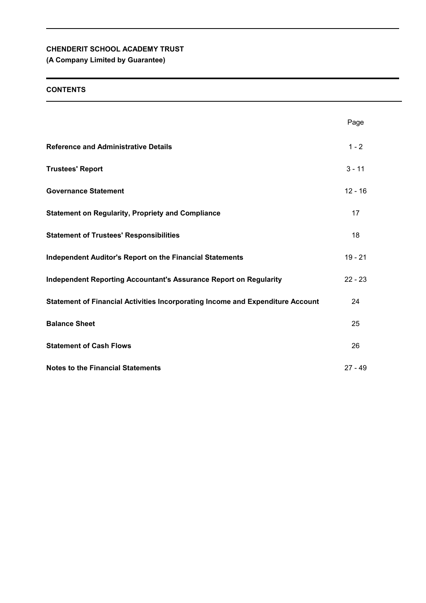## **(A Company Limited by Guarantee)**

## **CONTENTS**

|                                                                                       | Page      |
|---------------------------------------------------------------------------------------|-----------|
| <b>Reference and Administrative Details</b>                                           | $1 - 2$   |
| <b>Trustees' Report</b>                                                               | $3 - 11$  |
| <b>Governance Statement</b>                                                           | $12 - 16$ |
| <b>Statement on Regularity, Propriety and Compliance</b>                              | 17        |
| <b>Statement of Trustees' Responsibilities</b>                                        | 18        |
| <b>Independent Auditor's Report on the Financial Statements</b>                       | $19 - 21$ |
| <b>Independent Reporting Accountant's Assurance Report on Regularity</b>              | $22 - 23$ |
| <b>Statement of Financial Activities Incorporating Income and Expenditure Account</b> | 24        |
| <b>Balance Sheet</b>                                                                  | 25        |
| <b>Statement of Cash Flows</b>                                                        | 26        |
| <b>Notes to the Financial Statements</b>                                              | $27 - 49$ |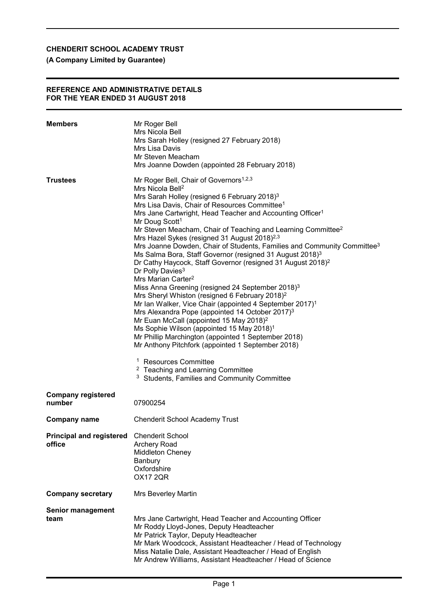## **(A Company Limited by Guarantee)**

#### **REFERENCE AND ADMINISTRATIVE DETAILS FOR THE YEAR ENDED 31 AUGUST 2018**

| <b>Members</b>                                      | Mr Roger Bell<br>Mrs Nicola Bell<br>Mrs Sarah Holley (resigned 27 February 2018)<br>Mrs Lisa Davis<br>Mr Steven Meacham<br>Mrs Joanne Dowden (appointed 28 February 2018)                                                                                                                                                                                                                                                                                                                                                                                                                                                                                                                                                                                                                                                                                                                                                                                                                                                                                                                                                                                                                                                                                                                                                                                                                                             |
|-----------------------------------------------------|-----------------------------------------------------------------------------------------------------------------------------------------------------------------------------------------------------------------------------------------------------------------------------------------------------------------------------------------------------------------------------------------------------------------------------------------------------------------------------------------------------------------------------------------------------------------------------------------------------------------------------------------------------------------------------------------------------------------------------------------------------------------------------------------------------------------------------------------------------------------------------------------------------------------------------------------------------------------------------------------------------------------------------------------------------------------------------------------------------------------------------------------------------------------------------------------------------------------------------------------------------------------------------------------------------------------------------------------------------------------------------------------------------------------------|
| <b>Trustees</b>                                     | Mr Roger Bell, Chair of Governors <sup>1,2,3</sup><br>Mrs Nicola Bell <sup>2</sup><br>Mrs Sarah Holley (resigned 6 February 2018) <sup>3</sup><br>Mrs Lisa Davis, Chair of Resources Committee <sup>1</sup><br>Mrs Jane Cartwright, Head Teacher and Accounting Officer <sup>1</sup><br>Mr Doug Scott <sup>1</sup><br>Mr Steven Meacham, Chair of Teaching and Learning Committee <sup>2</sup><br>Mrs Hazel Sykes (resigned 31 August 2018) <sup>2,3</sup><br>Mrs Joanne Dowden, Chair of Students, Families and Community Committee <sup>3</sup><br>Ms Salma Bora, Staff Governor (resigned 31 August 2018) <sup>3</sup><br>Dr Cathy Haycock, Staff Governor (resigned 31 August 2018) <sup>2</sup><br>Dr Polly Davies <sup>3</sup><br>Mrs Marian Carter <sup>2</sup><br>Miss Anna Greening (resigned 24 September 2018) <sup>3</sup><br>Mrs Sheryl Whiston (resigned 6 February 2018) <sup>2</sup><br>Mr Ian Walker, Vice Chair (appointed 4 September 2017) <sup>1</sup><br>Mrs Alexandra Pope (appointed 14 October 2017) <sup>3</sup><br>Mr Euan McCall (appointed 15 May 2018) <sup>2</sup><br>Ms Sophie Wilson (appointed 15 May 2018) <sup>1</sup><br>Mr Phillip Marchington (appointed 1 September 2018)<br>Mr Anthony Pitchfork (appointed 1 September 2018)<br><sup>1</sup> Resources Committee<br><sup>2</sup> Teaching and Learning Committee<br><sup>3</sup> Students, Families and Community Committee |
| <b>Company registered</b><br>number                 | 07900254                                                                                                                                                                                                                                                                                                                                                                                                                                                                                                                                                                                                                                                                                                                                                                                                                                                                                                                                                                                                                                                                                                                                                                                                                                                                                                                                                                                                              |
| Company name                                        | <b>Chenderit School Academy Trust</b>                                                                                                                                                                                                                                                                                                                                                                                                                                                                                                                                                                                                                                                                                                                                                                                                                                                                                                                                                                                                                                                                                                                                                                                                                                                                                                                                                                                 |
| Principal and registered Chenderit School<br>office | <b>Archery Road</b><br>Middleton Cheney<br>Banbury<br>Oxfordshire<br><b>OX17 2QR</b>                                                                                                                                                                                                                                                                                                                                                                                                                                                                                                                                                                                                                                                                                                                                                                                                                                                                                                                                                                                                                                                                                                                                                                                                                                                                                                                                  |
| <b>Company secretary</b>                            | Mrs Beverley Martin                                                                                                                                                                                                                                                                                                                                                                                                                                                                                                                                                                                                                                                                                                                                                                                                                                                                                                                                                                                                                                                                                                                                                                                                                                                                                                                                                                                                   |
| <b>Senior management</b><br>team                    | Mrs Jane Cartwright, Head Teacher and Accounting Officer<br>Mr Roddy Lloyd-Jones, Deputy Headteacher<br>Mr Patrick Taylor, Deputy Headteacher<br>Mr Mark Woodcock, Assistant Headteacher / Head of Technology<br>Miss Natalie Dale, Assistant Headteacher / Head of English<br>Mr Andrew Williams, Assistant Headteacher / Head of Science                                                                                                                                                                                                                                                                                                                                                                                                                                                                                                                                                                                                                                                                                                                                                                                                                                                                                                                                                                                                                                                                            |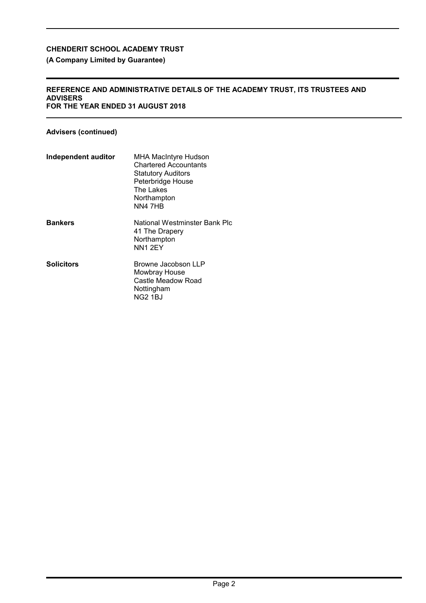## **(A Company Limited by Guarantee)**

#### **REFERENCE AND ADMINISTRATIVE DETAILS OF THE ACADEMY TRUST, ITS TRUSTEES AND ADVISERS FOR THE YEAR ENDED 31 AUGUST 2018**

## **Advisers (continued)**

| Independent auditor | <b>MHA MacIntyre Hudson</b><br><b>Chartered Accountants</b><br><b>Statutory Auditors</b><br>Peterbridge House<br>The Lakes<br>Northampton<br>NN4 7HB |
|---------------------|------------------------------------------------------------------------------------------------------------------------------------------------------|
| <b>Bankers</b>      | National Westminster Bank Plc<br>41 The Drapery<br>Northampton<br>NN1 2EY                                                                            |
| <b>Solicitors</b>   | Browne Jacobson LLP<br>Mowbray House<br>Castle Meadow Road<br>Nottingham<br>NG2 1BJ                                                                  |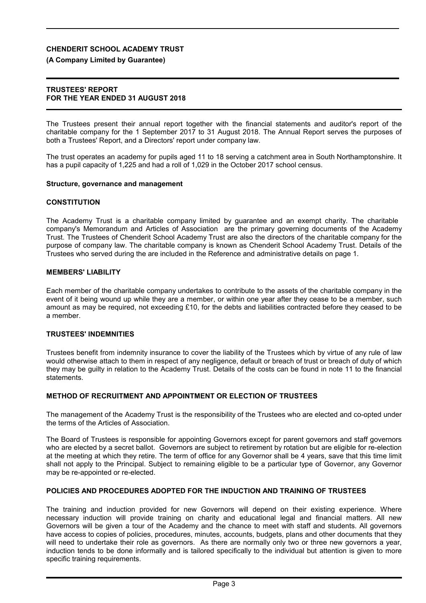## **(A Company Limited by Guarantee)**

## **TRUSTEES' REPORT FOR THE YEAR ENDED 31 AUGUST 2018**

The Trustees present their annual report together with the financial statements and auditor's report of the charitable company for the 1 September 2017 to 31 August 2018. The Annual Report serves the purposes of both a Trustees' Report, and a Directors' report under company law.

The trust operates an academy for pupils aged 11 to 18 serving a catchment area in South Northamptonshire. It has a pupil capacity of 1,225 and had a roll of 1,029 in the October 2017 school census.

## **Structure, governance and management**

## **CONSTITUTION**

The Academy Trust is a charitable company limited by guarantee and an exempt charity. The charitable company's Memorandum and Articles of Association are the primary governing documents of the Academy Trust. The Trustees of Chenderit School Academy Trust are also the directors of the charitable company for the purpose of company law. The charitable company is known as Chenderit School Academy Trust. Details of the Trustees who served during the are included in the Reference and administrative details on page 1.

## **MEMBERS' LIABILITY**

Each member of the charitable company undertakes to contribute to the assets of the charitable company in the event of it being wound up while they are a member, or within one year after they cease to be a member, such amount as may be required, not exceeding £10, for the debts and liabilities contracted before they ceased to be a member.

## **TRUSTEES' INDEMNITIES**

Trustees benefit from indemnity insurance to cover the liability of the Trustees which by virtue of any rule of law would otherwise attach to them in respect of any negligence, default or breach of trust or breach of duty of which they may be guilty in relation to the Academy Trust. Details of the costs can be found in note 11 to the financial statements.

## **METHOD OF RECRUITMENT AND APPOINTMENT OR ELECTION OF TRUSTEES**

The management of the Academy Trust is the responsibility of the Trustees who are elected and co-opted under the terms of the Articles of Association.

The Board of Trustees is responsible for appointing Governors except for parent governors and staff governors who are elected by a secret ballot. Governors are subject to retirement by rotation but are eligible for re-election at the meeting at which they retire. The term of office for any Governor shall be 4 years, save that this time limit shall not apply to the Principal. Subject to remaining eligible to be a particular type of Governor, any Governor may be re-appointed or re-elected.

## **POLICIES AND PROCEDURES ADOPTED FOR THE INDUCTION AND TRAINING OF TRUSTEES**

The training and induction provided for new Governors will depend on their existing experience. Where necessary induction will provide training on charity and educational legal and financial matters. All new Governors will be given a tour of the Academy and the chance to meet with staff and students. All governors have access to copies of policies, procedures, minutes, accounts, budgets, plans and other documents that they will need to undertake their role as governors. As there are normally only two or three new governors a year, induction tends to be done informally and is tailored specifically to the individual but attention is given to more specific training requirements.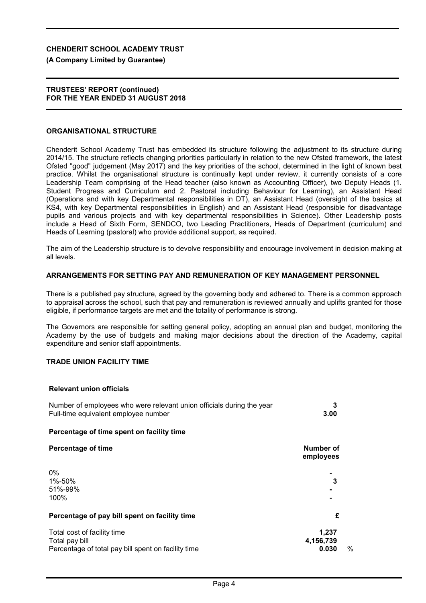**(A Company Limited by Guarantee)**

#### **TRUSTEES' REPORT (continued) FOR THE YEAR ENDED 31 AUGUST 2018**

#### **ORGANISATIONAL STRUCTURE**

Chenderit School Academy Trust has embedded its structure following the adjustment to its structure during 2014/15. The structure reflects changing priorities particularly in relation to the new Ofsted framework, the latest Ofsted "good" judgement (May 2017) and the key priorities of the school, determined in the light of known best practice. Whilst the organisational structure is continually kept under review, it currently consists of a core Leadership Team comprising of the Head teacher (also known as Accounting Officer), two Deputy Heads (1. Student Progress and Curriculum and 2. Pastoral including Behaviour for Learning), an Assistant Head (Operations and with key Departmental responsibilities in DT), an Assistant Head (oversight of the basics at KS4, with key Departmental responsibilities in English) and an Assistant Head (responsible for disadvantage pupils and various projects and with key departmental responsibilities in Science). Other Leadership posts include a Head of Sixth Form, SENDCO, two Leading Practitioners, Heads of Department (curriculum) and Heads of Learning (pastoral) who provide additional support, as required.

The aim of the Leadership structure is to devolve responsibility and encourage involvement in decision making at all levels.

#### **ARRANGEMENTS FOR SETTING PAY AND REMUNERATION OF KEY MANAGEMENT PERSONNEL**

There is a published pay structure, agreed by the governing body and adhered to. There is a common approach to appraisal across the school, such that pay and remuneration is reviewed annually and uplifts granted for those eligible, if performance targets are met and the totality of performance is strong.

The Governors are responsible for setting general policy, adopting an annual plan and budget, monitoring the Academy by the use of budgets and making major decisions about the direction of the Academy, capital expenditure and senior staff appointments.

### **TRADE UNION FACILITY TIME**

#### **Relevant union officials**

| Number of employees who were relevant union officials during the year |                   |
|-----------------------------------------------------------------------|-------------------|
| Full-time equivalent employee number                                  | 3.00 <sub>1</sub> |

#### **Percentage of time spent on facility time**

| <b>Percentage of time</b>                                                                            | Number of<br>employees                                  |
|------------------------------------------------------------------------------------------------------|---------------------------------------------------------|
| $0\%$<br>1%-50%<br>51%-99%<br>100%                                                                   | $\blacksquare$<br>3<br>$\blacksquare$<br>$\blacksquare$ |
| Percentage of pay bill spent on facility time                                                        | £                                                       |
| Total cost of facility time<br>Total pay bill<br>Percentage of total pay bill spent on facility time | 1,237<br>4,156,739<br>$\frac{0}{0}$<br>0.030            |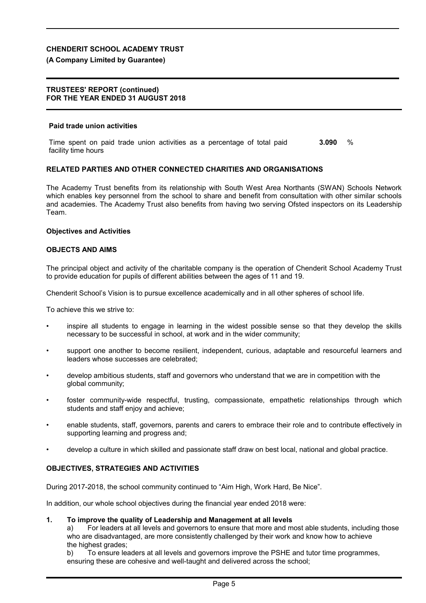### **(A Company Limited by Guarantee)**

#### **TRUSTEES' REPORT (continued) FOR THE YEAR ENDED 31 AUGUST 2018**

#### **Paid trade union activities**

Time spent on paid trade union activities as a percentage of total paid facility time hours **3.090** %

### **RELATED PARTIES AND OTHER CONNECTED CHARITIES AND ORGANISATIONS**

The Academy Trust benefits from its relationship with South West Area Northants (SWAN) Schools Network which enables key personnel from the school to share and benefit from consultation with other similar schools and academies. The Academy Trust also benefits from having two serving Ofsted inspectors on its Leadership Team.

#### **Objectives and Activities**

#### **OBJECTS AND AIMS**

The principal object and activity of the charitable company is the operation of Chenderit School Academy Trust to provide education for pupils of different abilities between the ages of 11 and 19.

Chenderit School's Vision is to pursue excellence academically and in all other spheres of school life.

To achieve this we strive to:

- inspire all students to engage in learning in the widest possible sense so that they develop the skills necessary to be successful in school, at work and in the wider community;
- support one another to become resilient, independent, curious, adaptable and resourceful learners and leaders whose successes are celebrated;
- develop ambitious students, staff and governors who understand that we are in competition with the global community;
- foster community-wide respectful, trusting, compassionate, empathetic relationships through which students and staff enjoy and achieve;
- enable students, staff, governors, parents and carers to embrace their role and to contribute effectively in supporting learning and progress and;
- develop a culture in which skilled and passionate staff draw on best local, national and global practice.

### **OBJECTIVES, STRATEGIES AND ACTIVITIES**

During 2017-2018, the school community continued to "Aim High, Work Hard, Be Nice".

In addition, our whole school objectives during the financial year ended 2018 were:

#### **1. To improve the quality of Leadership and Management at all levels**

a) For leaders at all levels and governors to ensure that more and most able students, including those who are disadvantaged, are more consistently challenged by their work and know how to achieve the highest grades;

b) To ensure leaders at all levels and governors improve the PSHE and tutor time programmes, ensuring these are cohesive and well-taught and delivered across the school;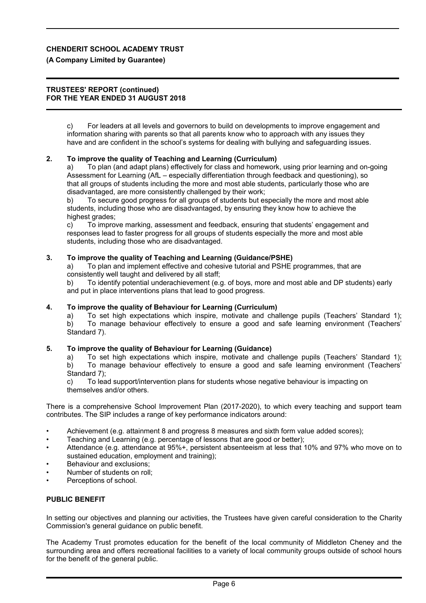### **(A Company Limited by Guarantee)**

#### **TRUSTEES' REPORT (continued) FOR THE YEAR ENDED 31 AUGUST 2018**

c) For leaders at all levels and governors to build on developments to improve engagement and information sharing with parents so that all parents know who to approach with any issues they have and are confident in the school's systems for dealing with bullying and safeguarding issues.

### **2. To improve the quality of Teaching and Learning (Curriculum)**

a) To plan (and adapt plans) effectively for class and homework, using prior learning and on-going Assessment for Learning (AfL – especially differentiation through feedback and questioning), so that all groups of students including the more and most able students, particularly those who are disadvantaged, are more consistently challenged by their work;

b) To secure good progress for all groups of students but especially the more and most able students, including those who are disadvantaged, by ensuring they know how to achieve the highest grades:

c) To improve marking, assessment and feedback, ensuring that students' engagement and responses lead to faster progress for all groups of students especially the more and most able students, including those who are disadvantaged.

### **3. To improve the quality of Teaching and Learning (Guidance/PSHE)**

a) To plan and implement effective and cohesive tutorial and PSHE programmes, that are consistently well taught and delivered by all staff;

b) To identify potential underachievement (e.g. of boys, more and most able and DP students) early and put in place interventions plans that lead to good progress.

### **4. To improve the quality of Behaviour for Learning (Curriculum)**

a) To set high expectations which inspire, motivate and challenge pupils (Teachers' Standard 1); b) To manage behaviour effectively to ensure a good and safe learning environment (Teachers'

Standard 7).

### **5. To improve the quality of Behaviour for Learning (Guidance)**

a) To set high expectations which inspire, motivate and challenge pupils (Teachers' Standard 1); b) To manage behaviour effectively to ensure a good and safe learning environment (Teachers' Standard 7):

c) To lead support/intervention plans for students whose negative behaviour is impacting on themselves and/or others.

There is a comprehensive School Improvement Plan (2017-2020), to which every teaching and support team contributes. The SIP includes a range of key performance indicators around:

- Achievement (e.g. attainment 8 and progress 8 measures and sixth form value added scores);
- Teaching and Learning (e.g. percentage of lessons that are good or better);
- Attendance (e.g. attendance at 95%+, persistent absenteeism at less that 10% and 97% who move on to sustained education, employment and training);
- Behaviour and exclusions;
- Number of students on roll;
- Perceptions of school.

## **PUBLIC BENEFIT**

In setting our objectives and planning our activities, the Trustees have given careful consideration to the Charity Commission's general guidance on public benefit.

The Academy Trust promotes education for the benefit of the local community of Middleton Cheney and the surrounding area and offers recreational facilities to a variety of local community groups outside of school hours for the benefit of the general public.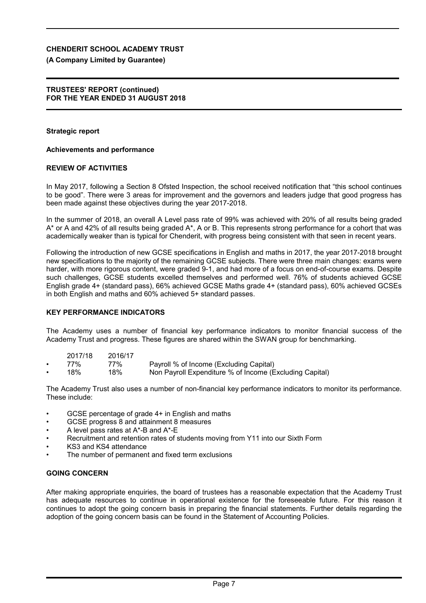## **(A Company Limited by Guarantee)**

## **TRUSTEES' REPORT (continued) FOR THE YEAR ENDED 31 AUGUST 2018**

## **Strategic report**

## **Achievements and performance**

## **REVIEW OF ACTIVITIES**

In May 2017, following a Section 8 Ofsted Inspection, the school received notification that "this school continues to be good". There were 3 areas for improvement and the governors and leaders judge that good progress has been made against these objectives during the year 2017-2018.

In the summer of 2018, an overall A Level pass rate of 99% was achieved with 20% of all results being graded A\* or A and 42% of all results being graded A\*, A or B. This represents strong performance for a cohort that was academically weaker than is typical for Chenderit, with progress being consistent with that seen in recent years.

Following the introduction of new GCSE specifications in English and maths in 2017, the year 2017-2018 brought new specifications to the majority of the remaining GCSE subjects. There were three main changes: exams were harder, with more rigorous content, were graded 9-1, and had more of a focus on end-of-course exams. Despite such challenges, GCSE students excelled themselves and performed well. 76% of students achieved GCSE English grade 4+ (standard pass), 66% achieved GCSE Maths grade 4+ (standard pass), 60% achieved GCSEs in both English and maths and 60% achieved 5+ standard passes.

## **KEY PERFORMANCE INDICATORS**

The Academy uses a number of financial key performance indicators to monitor financial success of the Academy Trust and progress. These figures are shared within the SWAN group for benchmarking.

| 2017/18 | 2016/17 |                                         |
|---------|---------|-----------------------------------------|
| 77%     | 77%     | Payroll % of Income (Excluding Capital) |

• 18% 18% Non Payroll Expenditure % of Income (Excluding Capital)

The Academy Trust also uses a number of non-financial key performance indicators to monitor its performance. These include:

- GCSE percentage of grade 4+ in English and maths
- GCSE progress 8 and attainment 8 measures
- A level pass rates at A\*-B and A\*-E
- Recruitment and retention rates of students moving from Y11 into our Sixth Form
- KS3 and KS4 attendance
- The number of permanent and fixed term exclusions

## **GOING CONCERN**

After making appropriate enquiries, the board of trustees has a reasonable expectation that the Academy Trust has adequate resources to continue in operational existence for the foreseeable future. For this reason it continues to adopt the going concern basis in preparing the financial statements. Further details regarding the adoption of the going concern basis can be found in the Statement of Accounting Policies.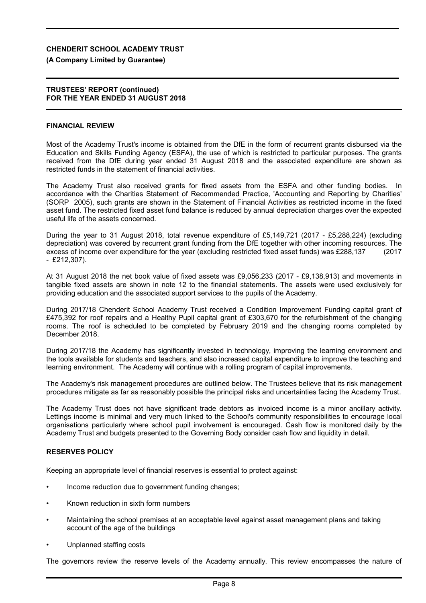### **(A Company Limited by Guarantee)**

#### **TRUSTEES' REPORT (continued) FOR THE YEAR ENDED 31 AUGUST 2018**

#### **FINANCIAL REVIEW**

Most of the Academy Trust's income is obtained from the DfE in the form of recurrent grants disbursed via the Education and Skills Funding Agency (ESFA), the use of which is restricted to particular purposes. The grants received from the DfE during year ended 31 August 2018 and the associated expenditure are shown as restricted funds in the statement of financial activities.

The Academy Trust also received grants for fixed assets from the ESFA and other funding bodies. In accordance with the Charities Statement of Recommended Practice, 'Accounting and Reporting by Charities' (SORP 2005), such grants are shown in the Statement of Financial Activities as restricted income in the fixed asset fund. The restricted fixed asset fund balance is reduced by annual depreciation charges over the expected useful life of the assets concerned.

During the year to 31 August 2018, total revenue expenditure of £5,149,721 (2017 - £5,288,224) (excluding depreciation) was covered by recurrent grant funding from the DfE together with other incoming resources. The excess of income over expenditure for the year (excluding restricted fixed asset funds) was £288,137 (2017 - £212,307).

At 31 August 2018 the net book value of fixed assets was £9,056,233 (2017 - £9,138,913) and movements in tangible fixed assets are shown in note 12 to the financial statements. The assets were used exclusively for providing education and the associated support services to the pupils of the Academy.

During 2017/18 Chenderit School Academy Trust received a Condition Improvement Funding capital grant of £475,392 for roof repairs and a Healthy Pupil capital grant of £303,670 for the refurbishment of the changing rooms. The roof is scheduled to be completed by February 2019 and the changing rooms completed by December 2018.

During 2017/18 the Academy has significantly invested in technology, improving the learning environment and the tools available for students and teachers, and also increased capital expenditure to improve the teaching and learning environment. The Academy will continue with a rolling program of capital improvements.

The Academy's risk management procedures are outlined below. The Trustees believe that its risk management procedures mitigate as far as reasonably possible the principal risks and uncertainties facing the Academy Trust.

The Academy Trust does not have significant trade debtors as invoiced income is a minor ancillary activity. Lettings income is minimal and very much linked to the School's community responsibilities to encourage local organisations particularly where school pupil involvement is encouraged. Cash flow is monitored daily by the Academy Trust and budgets presented to the Governing Body consider cash flow and liquidity in detail.

## **RESERVES POLICY**

Keeping an appropriate level of financial reserves is essential to protect against:

- Income reduction due to government funding changes:
- Known reduction in sixth form numbers
- Maintaining the school premises at an acceptable level against asset management plans and taking account of the age of the buildings
- Unplanned staffing costs

The governors review the reserve levels of the Academy annually. This review encompasses the nature of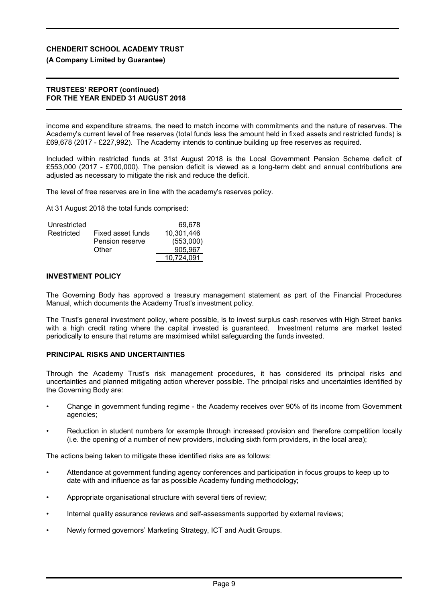#### **(A Company Limited by Guarantee)**

#### **TRUSTEES' REPORT (continued) FOR THE YEAR ENDED 31 AUGUST 2018**

income and expenditure streams, the need to match income with commitments and the nature of reserves. The Academy's current level of free reserves (total funds less the amount held in fixed assets and restricted funds) is £69,678 (2017 - £227,992). The Academy intends to continue building up free reserves as required.

Included within restricted funds at 31st August 2018 is the Local Government Pension Scheme deficit of £553,000 (2017 - £700,000). The pension deficit is viewed as a long-term debt and annual contributions are adjusted as necessary to mitigate the risk and reduce the deficit.

The level of free reserves are in line with the academy's reserves policy.

At 31 August 2018 the total funds comprised:

| Unrestricted |                   | 69.678     |
|--------------|-------------------|------------|
| Restricted   | Fixed asset funds | 10.301.446 |
|              | Pension reserve   | (553,000)  |
|              | Other             | 905.967    |
|              |                   | 10.724.091 |

#### **INVESTMENT POLICY**

The Governing Body has approved a treasury management statement as part of the Financial Procedures Manual, which documents the Academy Trust's investment policy.

The Trust's general investment policy, where possible, is to invest surplus cash reserves with High Street banks with a high credit rating where the capital invested is guaranteed. Investment returns are market tested periodically to ensure that returns are maximised whilst safeguarding the funds invested.

#### **PRINCIPAL RISKS AND UNCERTAINTIES**

Through the Academy Trust's risk management procedures, it has considered its principal risks and uncertainties and planned mitigating action wherever possible. The principal risks and uncertainties identified by the Governing Body are:

- Change in government funding regime the Academy receives over 90% of its income from Government agencies;
- Reduction in student numbers for example through increased provision and therefore competition locally (i.e. the opening of a number of new providers, including sixth form providers, in the local area);

The actions being taken to mitigate these identified risks are as follows:

- Attendance at government funding agency conferences and participation in focus groups to keep up to date with and influence as far as possible Academy funding methodology;
- Appropriate organisational structure with several tiers of review;
- Internal quality assurance reviews and self-assessments supported by external reviews;
- Newly formed governors' Marketing Strategy, ICT and Audit Groups.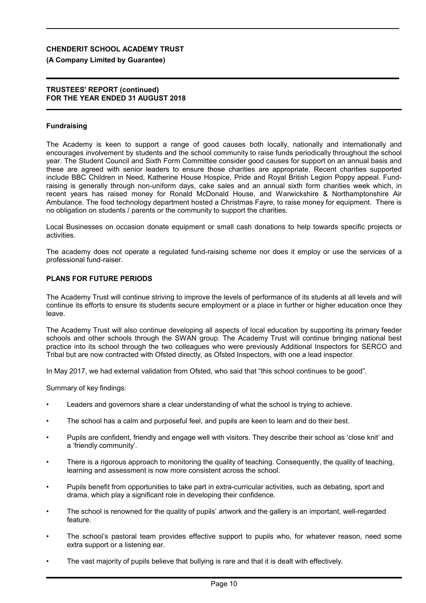### **(A Company Limited by Guarantee)**

#### **TRUSTEES' REPORT (continued) FOR THE YEAR ENDED 31 AUGUST 2018**

### **Fundraising**

The Academy is keen to support a range of good causes both locally, nationally and internationally and encourages involvement by students and the school community to raise funds periodically throughout the school year. The Student Council and Sixth Form Committee consider good causes for support on an annual basis and these are agreed with senior leaders to ensure those charities are appropriate. Recent charities supported include BBC Children in Need, Katherine House Hospice, Pride and Royal British Legion Poppy appeal. Fundraising is generally through non-uniform days, cake sales and an annual sixth form charities week which, in recent years has raised money for Ronald McDonald House, and Warwickshire & Northamptonshire Air Ambulance. The food technology department hosted a Christmas Fayre, to raise money for equipment. There is no obligation on students / parents or the community to support the charities.

Local Businesses on occasion donate equipment or small cash donations to help towards specific projects or activities.

The academy does not operate a regulated fund-raising scheme nor does it employ or use the services of a professional fund-raiser.

### **PLANS FOR FUTURE PERIODS**

The Academy Trust will continue striving to improve the levels of performance of its students at all levels and will continue its efforts to ensure its students secure employment or a place in further or higher education once they leave.

The Academy Trust will also continue developing all aspects of local education by supporting its primary feeder schools and other schools through the SWAN group. The Academy Trust will continue bringing national best practice into its school through the two colleagues who were previously Additional Inspectors for SERCO and Tribal but are now contracted with Ofsted directly, as Ofsted Inspectors, with one a lead inspector.

In May 2017, we had external validation from Ofsted, who said that "this school continues to be good".

Summary of key findings:

- Leaders and governors share a clear understanding of what the school is trying to achieve.
- The school has a calm and purposeful feel, and pupils are keen to learn and do their best.
- Pupils are confident, friendly and engage well with visitors. They describe their school as 'close knit' and a 'friendly community'.
- There is a rigorous approach to monitoring the quality of teaching. Consequently, the quality of teaching, learning and assessment is now more consistent across the school.
- Pupils benefit from opportunities to take part in extra-curricular activities, such as debating, sport and drama, which play a significant role in developing their confidence.
- The school is renowned for the quality of pupils' artwork and the gallery is an important, well-regarded feature.
- The school's pastoral team provides effective support to pupils who, for whatever reason, need some extra support or a listening ear.
- The vast majority of pupils believe that bullying is rare and that it is dealt with effectively.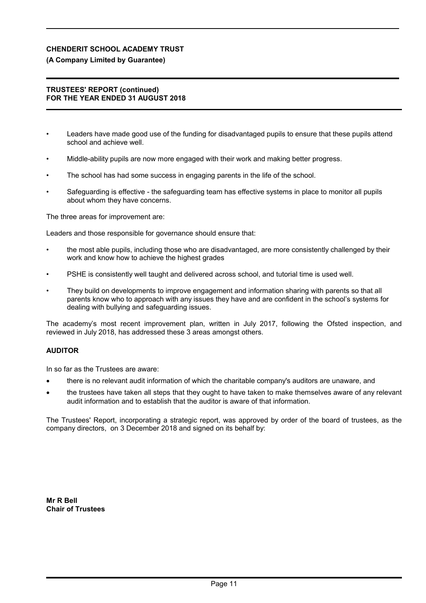## **(A Company Limited by Guarantee)**

#### **TRUSTEES' REPORT (continued) FOR THE YEAR ENDED 31 AUGUST 2018**

- Leaders have made good use of the funding for disadvantaged pupils to ensure that these pupils attend school and achieve well.
- Middle-ability pupils are now more engaged with their work and making better progress.
- The school has had some success in engaging parents in the life of the school.
- Safeguarding is effective the safeguarding team has effective systems in place to monitor all pupils about whom they have concerns.

The three areas for improvement are:

Leaders and those responsible for governance should ensure that:

- the most able pupils, including those who are disadvantaged, are more consistently challenged by their work and know how to achieve the highest grades
- PSHE is consistently well taught and delivered across school, and tutorial time is used well.
- They build on developments to improve engagement and information sharing with parents so that all parents know who to approach with any issues they have and are confident in the school's systems for dealing with bullying and safeguarding issues.

The academy's most recent improvement plan, written in July 2017, following the Ofsted inspection, and reviewed in July 2018, has addressed these 3 areas amongst others.

## **AUDITOR**

In so far as the Trustees are aware:

- there is no relevant audit information of which the charitable company's auditors are unaware, and
- the trustees have taken all steps that they ought to have taken to make themselves aware of any relevant audit information and to establish that the auditor is aware of that information.

The Trustees' Report, incorporating a strategic report, was approved by order of the board of trustees, as the company directors, on 3 December 2018 and signed on its behalf by:

**Mr R Bell Chair of Trustees**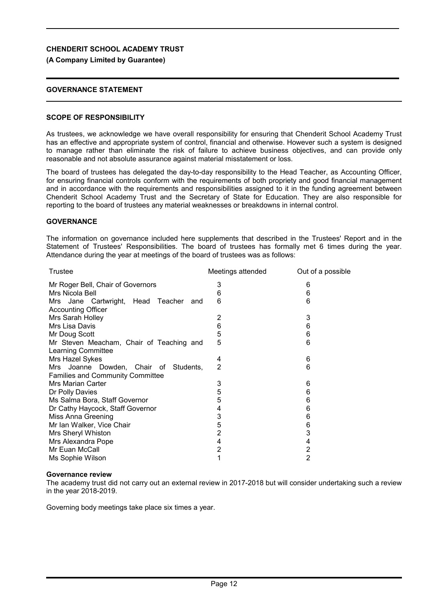## **(A Company Limited by Guarantee)**

## **GOVERNANCE STATEMENT**

## **SCOPE OF RESPONSIBILITY**

As trustees, we acknowledge we have overall responsibility for ensuring that Chenderit School Academy Trust has an effective and appropriate system of control, financial and otherwise. However such a system is designed to manage rather than eliminate the risk of failure to achieve business objectives, and can provide only reasonable and not absolute assurance against material misstatement or loss.

The board of trustees has delegated the day-to-day responsibility to the Head Teacher, as Accounting Officer, for ensuring financial controls conform with the requirements of both propriety and good financial management and in accordance with the requirements and responsibilities assigned to it in the funding agreement between Chenderit School Academy Trust and the Secretary of State for Education. They are also responsible for reporting to the board of trustees any material weaknesses or breakdowns in internal control.

## **GOVERNANCE**

The information on governance included here supplements that described in the Trustees' Report and in the Statement of Trustees' Responsibilities. The board of trustees has formally met 6 times during the year. Attendance during the year at meetings of the board of trustees was as follows:

| Trustee                                                                          | Meetings attended | Out of a possible |
|----------------------------------------------------------------------------------|-------------------|-------------------|
| Mr Roger Bell, Chair of Governors                                                | 3                 | 6                 |
| Mrs Nicola Bell                                                                  | 6                 | 6                 |
| Mrs Jane Cartwright, Head Teacher<br>and<br><b>Accounting Officer</b>            | 6                 | 6                 |
| Mrs Sarah Holley                                                                 | 2                 | 3                 |
| Mrs Lisa Davis                                                                   | 6                 | 6                 |
| Mr Doug Scott                                                                    | 5                 | 6                 |
| Mr Steven Meacham, Chair of Teaching and<br>Learning Committee                   | 5                 | 6                 |
| Mrs Hazel Sykes                                                                  | 4                 | 6                 |
| Mrs Joanne Dowden, Chair of Students,<br><b>Families and Community Committee</b> | $\overline{2}$    | 6                 |
| Mrs Marian Carter                                                                | 3                 | 6                 |
| Dr Polly Davies                                                                  | 5                 | 6                 |
| Ms Salma Bora, Staff Governor                                                    | 5                 | 6                 |
| Dr Cathy Haycock, Staff Governor                                                 | 4                 | 6                 |
| Miss Anna Greening                                                               | 3                 | 6                 |
| Mr Ian Walker, Vice Chair                                                        | 5                 | 6                 |
| Mrs Sheryl Whiston                                                               | $\overline{2}$    | 3                 |
| Mrs Alexandra Pope                                                               | 4                 | 4                 |
| Mr Euan McCall                                                                   | $\overline{2}$    | $\overline{2}$    |
| Ms Sophie Wilson                                                                 | 1                 | 2                 |

## **Governance review**

The academy trust did not carry out an external review in 2017-2018 but will consider undertaking such a review in the year 2018-2019.

Governing body meetings take place six times a year.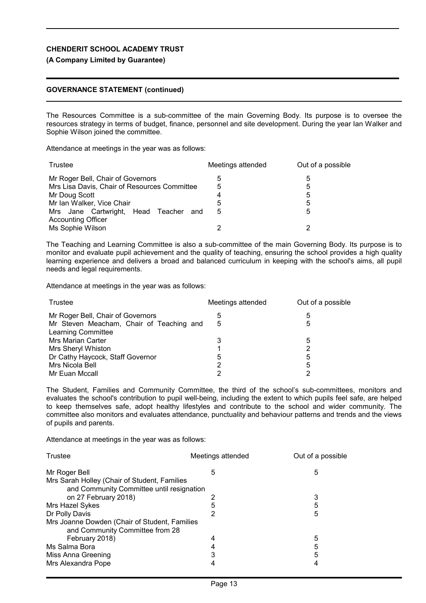### **(A Company Limited by Guarantee)**

### **GOVERNANCE STATEMENT (continued)**

The Resources Committee is a sub-committee of the main Governing Body. Its purpose is to oversee the resources strategy in terms of budget, finance, personnel and site development. During the year Ian Walker and Sophie Wilson joined the committee.

Attendance at meetings in the year was as follows:

| Trustee                                                               | Meetings attended | Out of a possible |
|-----------------------------------------------------------------------|-------------------|-------------------|
| Mr Roger Bell, Chair of Governors                                     | 5                 | ხ                 |
| Mrs Lisa Davis, Chair of Resources Committee                          | 5                 | 5                 |
| Mr Doug Scott                                                         | 4                 | 5                 |
| Mr Ian Walker, Vice Chair                                             | 5                 | 5                 |
| Mrs Jane Cartwright, Head Teacher<br>and<br><b>Accounting Officer</b> | 5                 | 5                 |
| Ms Sophie Wilson                                                      |                   |                   |

The Teaching and Learning Committee is also a sub-committee of the main Governing Body. Its purpose is to monitor and evaluate pupil achievement and the quality of teaching, ensuring the school provides a high quality learning experience and delivers a broad and balanced curriculum in keeping with the school's aims, all pupil needs and legal requirements.

Attendance at meetings in the year was as follows:

| Trustee                                  | Meetings attended | Out of a possible |
|------------------------------------------|-------------------|-------------------|
| Mr Roger Bell, Chair of Governors        | 5                 | 5                 |
| Mr Steven Meacham, Chair of Teaching and | 5                 | 5                 |
| <b>Learning Committee</b>                |                   |                   |
| <b>Mrs Marian Carter</b>                 | 3                 | 5                 |
| <b>Mrs Sheryl Whiston</b>                |                   | 2                 |
| Dr Cathy Haycock, Staff Governor         | 5                 | 5                 |
| Mrs Nicola Bell                          | 2                 | 5                 |
| Mr Euan Mccall                           | 2                 |                   |

The Student, Families and Community Committee, the third of the school's sub-committees, monitors and evaluates the school's contribution to pupil well-being, including the extent to which pupils feel safe, are helped to keep themselves safe, adopt healthy lifestyles and contribute to the school and wider community. The committee also monitors and evaluates attendance, punctuality and behaviour patterns and trends and the views of pupils and parents.

Attendance at meetings in the year was as follows:

| Trustee                                       | Meetings attended | Out of a possible |  |  |
|-----------------------------------------------|-------------------|-------------------|--|--|
| Mr Roger Bell                                 | 5                 | 5                 |  |  |
| Mrs Sarah Holley (Chair of Student, Families  |                   |                   |  |  |
| and Community Committee until resignation     |                   |                   |  |  |
| on 27 February 2018)                          |                   | 3                 |  |  |
| Mrs Hazel Sykes                               | 5                 | 5                 |  |  |
| Dr Polly Davis                                |                   | 5                 |  |  |
| Mrs Joanne Dowden (Chair of Student, Families |                   |                   |  |  |
| and Community Committee from 28               |                   |                   |  |  |
| February 2018)                                | 4                 | 5                 |  |  |
| Ms Salma Bora                                 |                   | 5                 |  |  |
| Miss Anna Greening                            | З                 | 5                 |  |  |
| Mrs Alexandra Pope                            |                   |                   |  |  |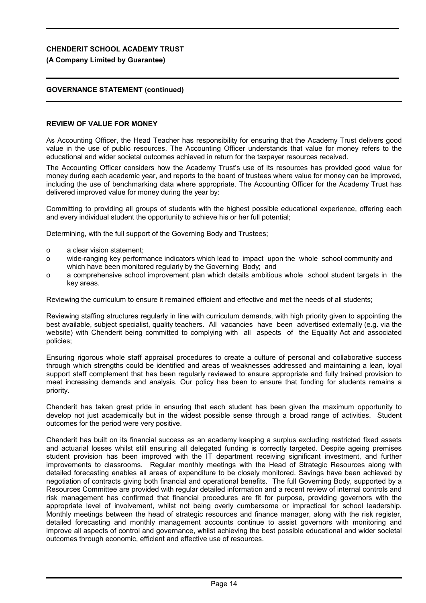### **(A Company Limited by Guarantee)**

## **GOVERNANCE STATEMENT (continued)**

#### **REVIEW OF VALUE FOR MONEY**

As Accounting Officer, the Head Teacher has responsibility for ensuring that the Academy Trust delivers good value in the use of public resources. The Accounting Officer understands that value for money refers to the educational and wider societal outcomes achieved in return for the taxpayer resources received.

The Accounting Officer considers how the Academy Trust's use of its resources has provided good value for money during each academic year, and reports to the board of trustees where value for money can be improved, including the use of benchmarking data where appropriate. The Accounting Officer for the Academy Trust has delivered improved value for money during the year by:

Committing to providing all groups of students with the highest possible educational experience, offering each and every individual student the opportunity to achieve his or her full potential;

Determining, with the full support of the Governing Body and Trustees;

- o a clear vision statement;
- o wide-ranging key performance indicators which lead to impact upon the whole school community and which have been monitored regularly by the Governing Body; and
- o a comprehensive school improvement plan which details ambitious whole school student targets in the key areas.

Reviewing the curriculum to ensure it remained efficient and effective and met the needs of all students;

Reviewing staffing structures regularly in line with curriculum demands, with high priority given to appointing the best available, subject specialist, quality teachers. All vacancies have been advertised externally (e.g. via the website) with Chenderit being committed to complying with all aspects of the Equality Act and associated policies;

Ensuring rigorous whole staff appraisal procedures to create a culture of personal and collaborative success through which strengths could be identified and areas of weaknesses addressed and maintaining a lean, loyal support staff complement that has been regularly reviewed to ensure appropriate and fully trained provision to meet increasing demands and analysis. Our policy has been to ensure that funding for students remains a priority.

Chenderit has taken great pride in ensuring that each student has been given the maximum opportunity to develop not just academically but in the widest possible sense through a broad range of activities. Student outcomes for the period were very positive.

Chenderit has built on its financial success as an academy keeping a surplus excluding restricted fixed assets and actuarial losses whilst still ensuring all delegated funding is correctly targeted. Despite ageing premises student provision has been improved with the IT department receiving significant investment, and further improvements to classrooms. Regular monthly meetings with the Head of Strategic Resources along with detailed forecasting enables all areas of expenditure to be closely monitored. Savings have been achieved by negotiation of contracts giving both financial and operational benefits. The full Governing Body, supported by a Resources Committee are provided with regular detailed information and a recent review of internal controls and risk management has confirmed that financial procedures are fit for purpose, providing governors with the appropriate level of involvement, whilst not being overly cumbersome or impractical for school leadership. Monthly meetings between the head of strategic resources and finance manager, along with the risk register, detailed forecasting and monthly management accounts continue to assist governors with monitoring and improve all aspects of control and governance, whilst achieving the best possible educational and wider societal outcomes through economic, efficient and effective use of resources.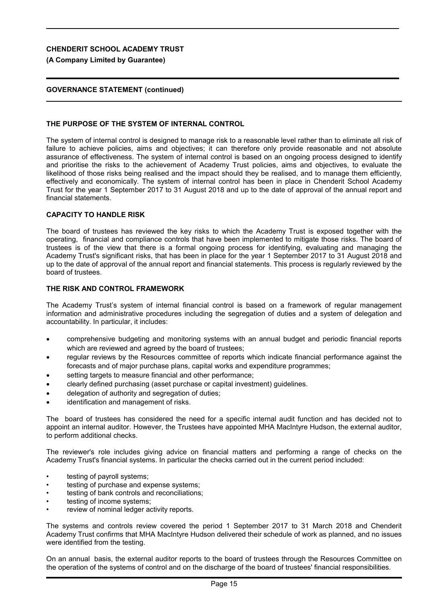**(A Company Limited by Guarantee)**

## **GOVERNANCE STATEMENT (continued)**

## **THE PURPOSE OF THE SYSTEM OF INTERNAL CONTROL**

The system of internal control is designed to manage risk to a reasonable level rather than to eliminate all risk of failure to achieve policies, aims and objectives; it can therefore only provide reasonable and not absolute assurance of effectiveness. The system of internal control is based on an ongoing process designed to identify and prioritise the risks to the achievement of Academy Trust policies, aims and objectives, to evaluate the likelihood of those risks being realised and the impact should they be realised, and to manage them efficiently, effectively and economically. The system of internal control has been in place in Chenderit School Academy Trust for the year 1 September 2017 to 31 August 2018 and up to the date of approval of the annual report and financial statements.

## **CAPACITY TO HANDLE RISK**

The board of trustees has reviewed the key risks to which the Academy Trust is exposed together with the operating, financial and compliance controls that have been implemented to mitigate those risks. The board of trustees is of the view that there is a formal ongoing process for identifying, evaluating and managing the Academy Trust's significant risks, that has been in place for the year 1 September 2017 to 31 August 2018 and up to the date of approval of the annual report and financial statements. This process is regularly reviewed by the board of trustees.

## **THE RISK AND CONTROL FRAMEWORK**

The Academy Trust's system of internal financial control is based on a framework of regular management information and administrative procedures including the segregation of duties and a system of delegation and accountability. In particular, it includes:

- comprehensive budgeting and monitoring systems with an annual budget and periodic financial reports which are reviewed and agreed by the board of trustees;
- regular reviews by the Resources committee of reports which indicate financial performance against the forecasts and of major purchase plans, capital works and expenditure programmes;
- setting targets to measure financial and other performance:
- clearly defined purchasing (asset purchase or capital investment) guidelines.
- delegation of authority and segregation of duties;
- identification and management of risks.

The board of trustees has considered the need for a specific internal audit function and has decided not to appoint an internal auditor. However, the Trustees have appointed MHA MacIntyre Hudson, the external auditor, to perform additional checks.

The reviewer's role includes giving advice on financial matters and performing a range of checks on the Academy Trust's financial systems. In particular the checks carried out in the current period included:

- testing of payroll systems;
- testing of purchase and expense systems;
- testing of bank controls and reconciliations;
- testing of income systems;
- review of nominal ledger activity reports.

The systems and controls review covered the period 1 September 2017 to 31 March 2018 and Chenderit Academy Trust confirms that MHA MacIntyre Hudson delivered their schedule of work as planned, and no issues were identified from the testing.

On an annual basis, the external auditor reports to the board of trustees through the Resources Committee on the operation of the systems of control and on the discharge of the board of trustees' financial responsibilities.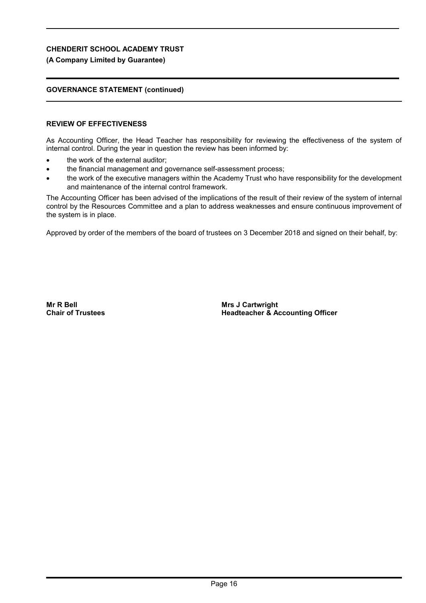## **(A Company Limited by Guarantee)**

## **GOVERNANCE STATEMENT (continued)**

## **REVIEW OF EFFECTIVENESS**

As Accounting Officer, the Head Teacher has responsibility for reviewing the effectiveness of the system of internal control. During the year in question the review has been informed by:

- the work of the external auditor;
- the financial management and governance self-assessment process;
- the work of the executive managers within the Academy Trust who have responsibility for the development and maintenance of the internal control framework.

The Accounting Officer has been advised of the implications of the result of their review of the system of internal control by the Resources Committee and a plan to address weaknesses and ensure continuous improvement of the system is in place.

Approved by order of the members of the board of trustees on 3 December 2018 and signed on their behalf, by:

**Mr R Bell Chair of Trustees** **Mrs J Cartwright Headteacher & Accounting Officer**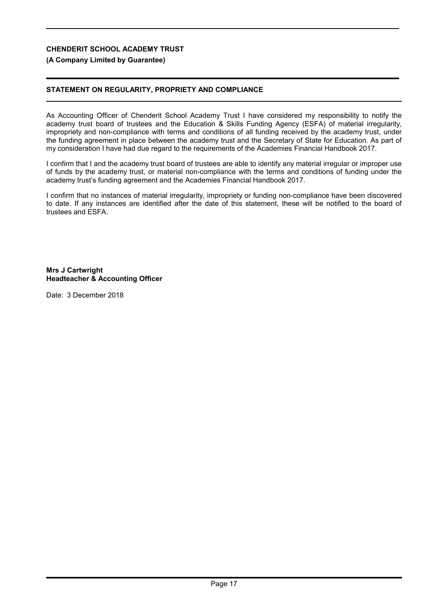## **(A Company Limited by Guarantee)**

## **STATEMENT ON REGULARITY, PROPRIETY AND COMPLIANCE**

As Accounting Officer of Chenderit School Academy Trust I have considered my responsibility to notify the academy trust board of trustees and the Education & Skills Funding Agency (ESFA) of material irregularity, impropriety and non-compliance with terms and conditions of all funding received by the academy trust, under the funding agreement in place between the academy trust and the Secretary of State for Education. As part of my consideration I have had due regard to the requirements of the Academies Financial Handbook 2017.

I confirm that I and the academy trust board of trustees are able to identify any material irregular or improper use of funds by the academy trust, or material non-compliance with the terms and conditions of funding under the academy trust's funding agreement and the Academies Financial Handbook 2017.

I confirm that no instances of material irregularity, impropriety or funding non-compliance have been discovered to date. If any instances are identified after the date of this statement, these will be notified to the board of trustees and ESFA.

**Mrs J Cartwright Headteacher & Accounting Officer**

Date: 3 December 2018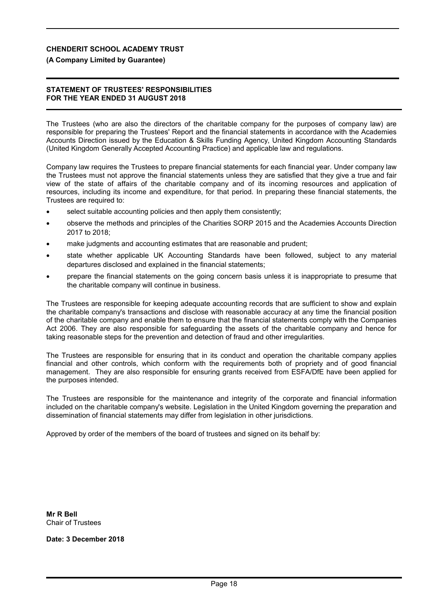### **(A Company Limited by Guarantee)**

#### **STATEMENT OF TRUSTEES' RESPONSIBILITIES FOR THE YEAR ENDED 31 AUGUST 2018**

The Trustees (who are also the directors of the charitable company for the purposes of company law) are responsible for preparing the Trustees' Report and the financial statements in accordance with the Academies Accounts Direction issued by the Education & Skills Funding Agency, United Kingdom Accounting Standards (United Kingdom Generally Accepted Accounting Practice) and applicable law and regulations.

Company law requires the Trustees to prepare financial statements for each financial year. Under company law the Trustees must not approve the financial statements unless they are satisfied that they give a true and fair view of the state of affairs of the charitable company and of its incoming resources and application of resources, including its income and expenditure, for that period. In preparing these financial statements, the Trustees are required to:

- select suitable accounting policies and then apply them consistently;
- observe the methods and principles of the Charities SORP 2015 and the Academies Accounts Direction 2017 to 2018;
- make judgments and accounting estimates that are reasonable and prudent;
- state whether applicable UK Accounting Standards have been followed, subject to any material departures disclosed and explained in the financial statements;
- prepare the financial statements on the going concern basis unless it is inappropriate to presume that the charitable company will continue in business.

The Trustees are responsible for keeping adequate accounting records that are sufficient to show and explain the charitable company's transactions and disclose with reasonable accuracy at any time the financial position of the charitable company and enable them to ensure that the financial statements comply with the Companies Act 2006. They are also responsible for safeguarding the assets of the charitable company and hence for taking reasonable steps for the prevention and detection of fraud and other irregularities.

The Trustees are responsible for ensuring that in its conduct and operation the charitable company applies financial and other controls, which conform with the requirements both of propriety and of good financial management. They are also responsible for ensuring grants received from ESFA/DfE have been applied for the purposes intended.

The Trustees are responsible for the maintenance and integrity of the corporate and financial information included on the charitable company's website. Legislation in the United Kingdom governing the preparation and dissemination of financial statements may differ from legislation in other jurisdictions.

Approved by order of the members of the board of trustees and signed on its behalf by:

**Mr R Bell** Chair of Trustees

**Date: 3 December 2018**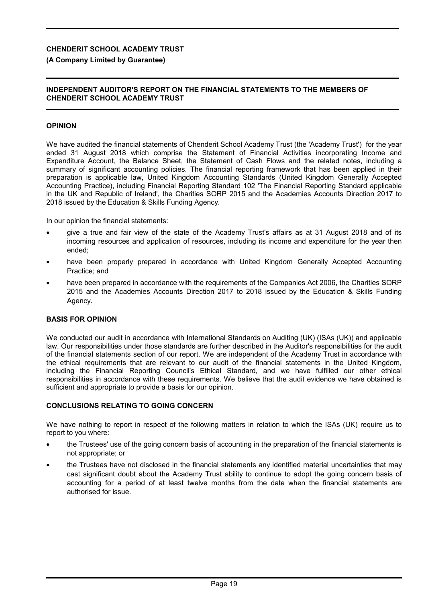## **(A Company Limited by Guarantee)**

## **INDEPENDENT AUDITOR'S REPORT ON THE FINANCIAL STATEMENTS TO THE MEMBERS OF CHENDERIT SCHOOL ACADEMY TRUST**

## **OPINION**

We have audited the financial statements of Chenderit School Academy Trust (the 'Academy Trust') for the year ended 31 August 2018 which comprise the Statement of Financial Activities incorporating Income and Expenditure Account, the Balance Sheet, the Statement of Cash Flows and the related notes, including a summary of significant accounting policies. The financial reporting framework that has been applied in their preparation is applicable law, United Kingdom Accounting Standards (United Kingdom Generally Accepted Accounting Practice), including Financial Reporting Standard 102 'The Financial Reporting Standard applicable in the UK and Republic of Ireland', the Charities SORP 2015 and the Academies Accounts Direction 2017 to 2018 issued by the Education & Skills Funding Agency.

In our opinion the financial statements:

- give a true and fair view of the state of the Academy Trust's affairs as at 31 August 2018 and of its incoming resources and application of resources, including its income and expenditure for the year then ended;
- have been properly prepared in accordance with United Kingdom Generally Accepted Accounting Practice; and
- have been prepared in accordance with the requirements of the Companies Act 2006, the Charities SORP 2015 and the Academies Accounts Direction 2017 to 2018 issued by the Education & Skills Funding Agency.

### **BASIS FOR OPINION**

We conducted our audit in accordance with International Standards on Auditing (UK) (ISAs (UK)) and applicable law. Our responsibilities under those standards are further described in the Auditor's responsibilities for the audit of the financial statements section of our report. We are independent of the Academy Trust in accordance with the ethical requirements that are relevant to our audit of the financial statements in the United Kingdom, including the Financial Reporting Council's Ethical Standard, and we have fulfilled our other ethical responsibilities in accordance with these requirements. We believe that the audit evidence we have obtained is sufficient and appropriate to provide a basis for our opinion.

### **CONCLUSIONS RELATING TO GOING CONCERN**

We have nothing to report in respect of the following matters in relation to which the ISAs (UK) require us to report to you where:

- the Trustees' use of the going concern basis of accounting in the preparation of the financial statements is not appropriate; or
- the Trustees have not disclosed in the financial statements any identified material uncertainties that may cast significant doubt about the Academy Trust ability to continue to adopt the going concern basis of accounting for a period of at least twelve months from the date when the financial statements are authorised for issue.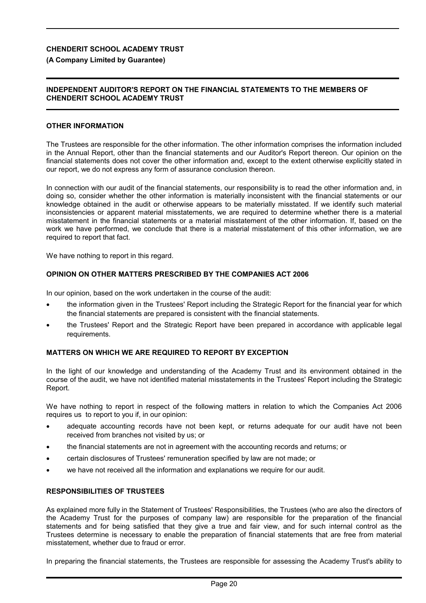### **(A Company Limited by Guarantee)**

### **INDEPENDENT AUDITOR'S REPORT ON THE FINANCIAL STATEMENTS TO THE MEMBERS OF CHENDERIT SCHOOL ACADEMY TRUST**

#### **OTHER INFORMATION**

The Trustees are responsible for the other information. The other information comprises the information included in the Annual Report, other than the financial statements and our Auditor's Report thereon. Our opinion on the financial statements does not cover the other information and, except to the extent otherwise explicitly stated in our report, we do not express any form of assurance conclusion thereon.

In connection with our audit of the financial statements, our responsibility is to read the other information and, in doing so, consider whether the other information is materially inconsistent with the financial statements or our knowledge obtained in the audit or otherwise appears to be materially misstated. If we identify such material inconsistencies or apparent material misstatements, we are required to determine whether there is a material misstatement in the financial statements or a material misstatement of the other information. If, based on the work we have performed, we conclude that there is a material misstatement of this other information, we are required to report that fact.

We have nothing to report in this regard.

### **OPINION ON OTHER MATTERS PRESCRIBED BY THE COMPANIES ACT 2006**

In our opinion, based on the work undertaken in the course of the audit:

- the information given in the Trustees' Report including the Strategic Report for the financial year for which the financial statements are prepared is consistent with the financial statements.
- the Trustees' Report and the Strategic Report have been prepared in accordance with applicable legal requirements.

### **MATTERS ON WHICH WE ARE REQUIRED TO REPORT BY EXCEPTION**

In the light of our knowledge and understanding of the Academy Trust and its environment obtained in the course of the audit, we have not identified material misstatements in the Trustees' Report including the Strategic Report.

We have nothing to report in respect of the following matters in relation to which the Companies Act 2006 requires us to report to you if, in our opinion:

- adequate accounting records have not been kept, or returns adequate for our audit have not been received from branches not visited by us; or
- the financial statements are not in agreement with the accounting records and returns; or
- certain disclosures of Trustees' remuneration specified by law are not made; or
- we have not received all the information and explanations we require for our audit.

### **RESPONSIBILITIES OF TRUSTEES**

As explained more fully in the Statement of Trustees' Responsibilities, the Trustees (who are also the directors of the Academy Trust for the purposes of company law) are responsible for the preparation of the financial statements and for being satisfied that they give a true and fair view, and for such internal control as the Trustees determine is necessary to enable the preparation of financial statements that are free from material misstatement, whether due to fraud or error.

In preparing the financial statements, the Trustees are responsible for assessing the Academy Trust's ability to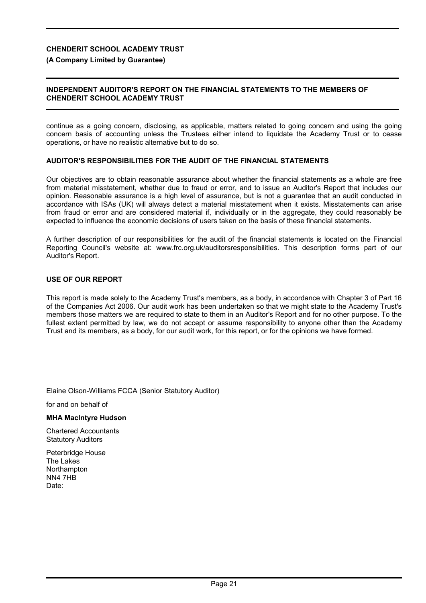#### **(A Company Limited by Guarantee)**

### **INDEPENDENT AUDITOR'S REPORT ON THE FINANCIAL STATEMENTS TO THE MEMBERS OF CHENDERIT SCHOOL ACADEMY TRUST**

continue as a going concern, disclosing, as applicable, matters related to going concern and using the going concern basis of accounting unless the Trustees either intend to liquidate the Academy Trust or to cease operations, or have no realistic alternative but to do so.

### **AUDITOR'S RESPONSIBILITIES FOR THE AUDIT OF THE FINANCIAL STATEMENTS**

Our objectives are to obtain reasonable assurance about whether the financial statements as a whole are free from material misstatement, whether due to fraud or error, and to issue an Auditor's Report that includes our opinion. Reasonable assurance is a high level of assurance, but is not a guarantee that an audit conducted in accordance with ISAs (UK) will always detect a material misstatement when it exists. Misstatements can arise from fraud or error and are considered material if, individually or in the aggregate, they could reasonably be expected to influence the economic decisions of users taken on the basis of these financial statements.

A further description of our responsibilities for the audit of the financial statements is located on the Financial Reporting Council's website at: www.frc.org.uk/auditorsresponsibilities. This description forms part of our Auditor's Report.

#### **USE OF OUR REPORT**

This report is made solely to the Academy Trust's members, as a body, in accordance with Chapter 3 of Part 16 of the Companies Act 2006. Our audit work has been undertaken so that we might state to the Academy Trust's members those matters we are required to state to them in an Auditor's Report and for no other purpose. To the fullest extent permitted by law, we do not accept or assume responsibility to anyone other than the Academy Trust and its members, as a body, for our audit work, for this report, or for the opinions we have formed.

Elaine Olson-Williams FCCA (Senior Statutory Auditor)

for and on behalf of

#### **MHA MacIntyre Hudson**

Chartered Accountants Statutory Auditors

Peterbridge House The Lakes **Northampton** NN4 7HB Date: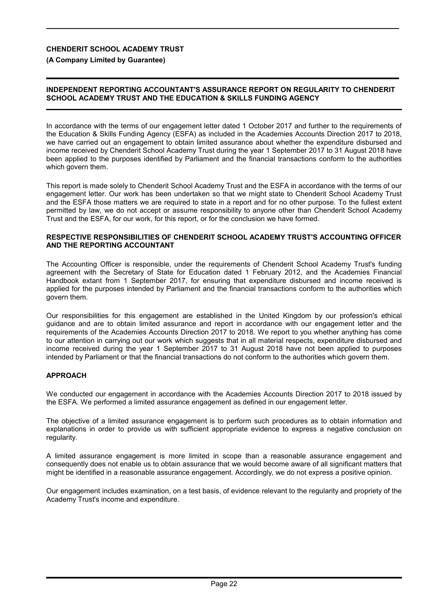**(A Company Limited by Guarantee)**

## **INDEPENDENT REPORTING ACCOUNTANT'S ASSURANCE REPORT ON REGULARITY TO CHENDERIT SCHOOL ACADEMY TRUST AND THE EDUCATION & SKILLS FUNDING AGENCY**

In accordance with the terms of our engagement letter dated 1 October 2017 and further to the requirements of the Education & Skills Funding Agency (ESFA) as included in the Academies Accounts Direction 2017 to 2018, we have carried out an engagement to obtain limited assurance about whether the expenditure disbursed and income received by Chenderit School Academy Trust during the year 1 September 2017 to 31 August 2018 have been applied to the purposes identified by Parliament and the financial transactions conform to the authorities which govern them.

This report is made solely to Chenderit School Academy Trust and the ESFA in accordance with the terms of our engagement letter. Our work has been undertaken so that we might state to Chenderit School Academy Trust and the ESFA those matters we are required to state in a report and for no other purpose. To the fullest extent permitted by law, we do not accept or assume responsibility to anyone other than Chenderit School Academy Trust and the ESFA, for our work, for this report, or for the conclusion we have formed.

#### **RESPECTIVE RESPONSIBILITIES OF CHENDERIT SCHOOL ACADEMY TRUST'S ACCOUNTING OFFICER AND THE REPORTING ACCOUNTANT**

The Accounting Officer is responsible, under the requirements of Chenderit School Academy Trust's funding agreement with the Secretary of State for Education dated 1 February 2012, and the Academies Financial Handbook extant from 1 September 2017, for ensuring that expenditure disbursed and income received is applied for the purposes intended by Parliament and the financial transactions conform to the authorities which govern them.

Our responsibilities for this engagement are established in the United Kingdom by our profession's ethical guidance and are to obtain limited assurance and report in accordance with our engagement letter and the requirements of the Academies Accounts Direction 2017 to 2018. We report to you whether anything has come to our attention in carrying out our work which suggests that in all material respects, expenditure disbursed and income received during the year 1 September 2017 to 31 August 2018 have not been applied to purposes intended by Parliament or that the financial transactions do not conform to the authorities which govern them.

## **APPROACH**

We conducted our engagement in accordance with the Academies Accounts Direction 2017 to 2018 issued by the ESFA. We performed a limited assurance engagement as defined in our engagement letter.

The objective of a limited assurance engagement is to perform such procedures as to obtain information and explanations in order to provide us with sufficient appropriate evidence to express a negative conclusion on regularity.

A limited assurance engagement is more limited in scope than a reasonable assurance engagement and consequently does not enable us to obtain assurance that we would become aware of all significant matters that might be identified in a reasonable assurance engagement. Accordingly, we do not express a positive opinion.

Our engagement includes examination, on a test basis, of evidence relevant to the regularity and propriety of the Academy Trust's income and expenditure.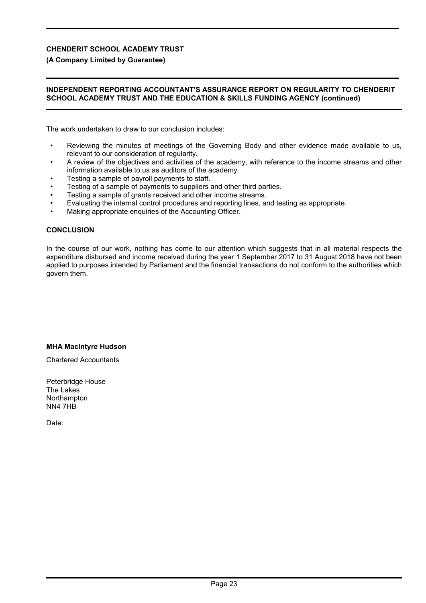## **(A Company Limited by Guarantee)**

### **INDEPENDENT REPORTING ACCOUNTANT'S ASSURANCE REPORT ON REGULARITY TO CHENDERIT SCHOOL ACADEMY TRUST AND THE EDUCATION & SKILLS FUNDING AGENCY (continued)**

The work undertaken to draw to our conclusion includes:

- Reviewing the minutes of meetings of the Governing Body and other evidence made available to us, relevant to our consideration of regularity.
- A review of the objectives and activities of the academy, with reference to the income streams and other information available to us as auditors of the academy.
- Testing a sample of payroll payments to staff.
- Testing of a sample of payments to suppliers and other third parties.
- Testing a sample of grants received and other income streams.
- Evaluating the internal control procedures and reporting lines, and testing as appropriate.
- Making appropriate enquiries of the Accounting Officer.

#### **CONCLUSION**

In the course of our work, nothing has come to our attention which suggests that in all material respects the expenditure disbursed and income received during the year 1 September 2017 to 31 August 2018 have not been applied to purposes intended by Parliament and the financial transactions do not conform to the authorities which govern them.

#### **MHA MacIntyre Hudson**

Chartered Accountants

Peterbridge House The Lakes **Northampton** NN4 7HB

Date: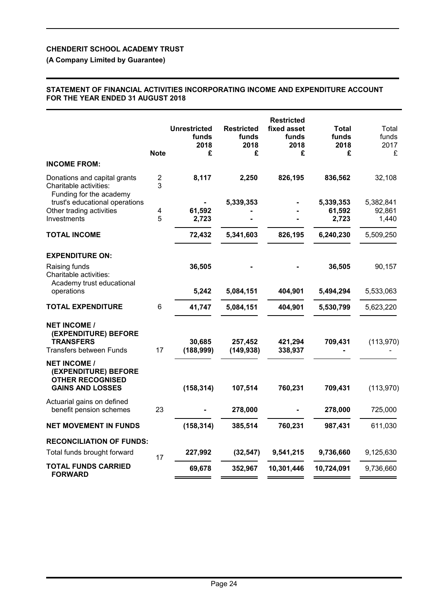## **(A Company Limited by Guarantee)**

### **STATEMENT OF FINANCIAL ACTIVITIES INCORPORATING INCOME AND EXPENDITURE ACCOUNT FOR THE YEAR ENDED 31 AUGUST 2018**

|                                                                                                   | <b>Note</b> | <b>Unrestricted</b><br>funds<br>2018<br>£ | <b>Restricted</b><br>funds<br>2018<br>£ | <b>Restricted</b><br>fixed asset<br>funds<br>2018<br>£ | Total<br>funds<br>2018<br>£  | Total<br>funds<br>2017<br>£  |
|---------------------------------------------------------------------------------------------------|-------------|-------------------------------------------|-----------------------------------------|--------------------------------------------------------|------------------------------|------------------------------|
| <b>INCOME FROM:</b>                                                                               |             |                                           |                                         |                                                        |                              |                              |
| Donations and capital grants<br>Charitable activities:<br>Funding for the academy                 | 2<br>3      | 8,117                                     | 2,250                                   | 826,195                                                | 836,562                      | 32,108                       |
| trust's educational operations<br>Other trading activities<br>Investments                         | 4<br>5      | 61,592<br>2,723                           | 5,339,353                               |                                                        | 5,339,353<br>61,592<br>2,723 | 5,382,841<br>92,861<br>1,440 |
| <b>TOTAL INCOME</b>                                                                               |             | 72,432                                    | 5,341,603                               | 826,195                                                | 6,240,230                    | 5,509,250                    |
| <b>EXPENDITURE ON:</b>                                                                            |             |                                           |                                         |                                                        |                              |                              |
| Raising funds<br>Charitable activities:<br>Academy trust educational                              |             | 36,505                                    |                                         |                                                        | 36,505                       | 90,157                       |
| operations                                                                                        |             | 5,242                                     | 5,084,151                               | 404,901                                                | 5,494,294                    | 5,533,063                    |
| <b>TOTAL EXPENDITURE</b>                                                                          | 6           | 41,747                                    | 5,084,151                               | 404,901                                                | 5,530,799                    | 5,623,220                    |
| <b>NET INCOME /</b><br>(EXPENDITURE) BEFORE<br><b>TRANSFERS</b><br><b>Transfers between Funds</b> | 17          | 30,685<br>(188, 999)                      | 257,452<br>(149, 938)                   | 421,294<br>338,937                                     | 709,431                      | (113, 970)                   |
| <b>NET INCOME /</b><br>(EXPENDITURE) BEFORE<br><b>OTHER RECOGNISED</b><br><b>GAINS AND LOSSES</b> |             | (158, 314)                                | 107,514                                 | 760,231                                                | 709,431                      | (113, 970)                   |
| Actuarial gains on defined<br>benefit pension schemes                                             | 23          |                                           | 278,000                                 |                                                        | 278,000                      | 725,000                      |
| <b>NET MOVEMENT IN FUNDS</b>                                                                      |             | (158, 314)                                | 385,514                                 | 760,231                                                | 987,431                      | 611,030                      |
| <b>RECONCILIATION OF FUNDS:</b><br>Total funds brought forward                                    | 17          | 227,992                                   | (32, 547)                               | 9,541,215                                              | 9,736,660                    | 9,125,630                    |
| <b>TOTAL FUNDS CARRIED</b><br><b>FORWARD</b>                                                      |             | 69,678                                    | 352,967                                 | 10,301,446                                             | 10,724,091                   | 9,736,660                    |
|                                                                                                   |             |                                           |                                         |                                                        |                              |                              |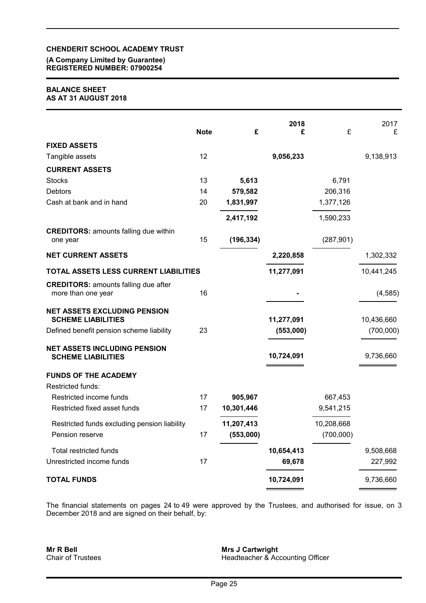## **(A Company Limited by Guarantee) REGISTERED NUMBER: 07900254**

## **BALANCE SHEET AS AT 31 AUGUST 2018**

|                                                                   | <b>Note</b> | £          | 2018<br>£  | £          | 2017<br>£  |
|-------------------------------------------------------------------|-------------|------------|------------|------------|------------|
| <b>FIXED ASSETS</b>                                               |             |            |            |            |            |
| Tangible assets                                                   | 12          |            | 9,056,233  |            | 9,138,913  |
| <b>CURRENT ASSETS</b>                                             |             |            |            |            |            |
| <b>Stocks</b>                                                     | 13          | 5,613      |            | 6,791      |            |
| <b>Debtors</b>                                                    | 14          | 579,582    |            | 206,316    |            |
| Cash at bank and in hand                                          | 20          | 1,831,997  |            | 1,377,126  |            |
|                                                                   |             | 2,417,192  |            | 1,590,233  |            |
| <b>CREDITORS: amounts falling due within</b><br>one year          | 15          | (196, 334) |            | (287, 901) |            |
| <b>NET CURRENT ASSETS</b>                                         |             |            | 2,220,858  |            | 1,302,332  |
| TOTAL ASSETS LESS CURRENT LIABILITIES                             |             |            | 11,277,091 |            | 10,441,245 |
| <b>CREDITORS: amounts falling due after</b><br>more than one year | 16          |            |            |            | (4, 585)   |
| <b>NET ASSETS EXCLUDING PENSION</b><br><b>SCHEME LIABILITIES</b>  |             |            | 11,277,091 |            | 10,436,660 |
| Defined benefit pension scheme liability                          | 23          |            | (553,000)  |            | (700,000)  |
| <b>NET ASSETS INCLUDING PENSION</b><br><b>SCHEME LIABILITIES</b>  |             |            | 10,724,091 |            | 9,736,660  |
| <b>FUNDS OF THE ACADEMY</b>                                       |             |            |            |            |            |
| Restricted funds:                                                 |             |            |            |            |            |
| Restricted income funds                                           | 17          | 905,967    |            | 667,453    |            |
| Restricted fixed asset funds                                      | 17          | 10,301,446 |            | 9,541,215  |            |
| Restricted funds excluding pension liability                      |             | 11,207,413 |            | 10,208,668 |            |
| Pension reserve                                                   | 17          | (553,000)  |            | (700,000)  |            |
| <b>Total restricted funds</b>                                     |             |            | 10,654,413 |            | 9,508,668  |
| Unrestricted income funds                                         | 17          |            | 69,678     |            | 227,992    |
| <b>TOTAL FUNDS</b>                                                |             |            | 10,724,091 |            | 9,736,660  |

The financial statements on pages 24 to 49 were approved by the Trustees, and authorised for issue, on 3 December 2018 and are signed on their behalf, by:

**Mr R Bell** Chair of Trustees

**Mrs J Cartwright** Headteacher & Accounting Officer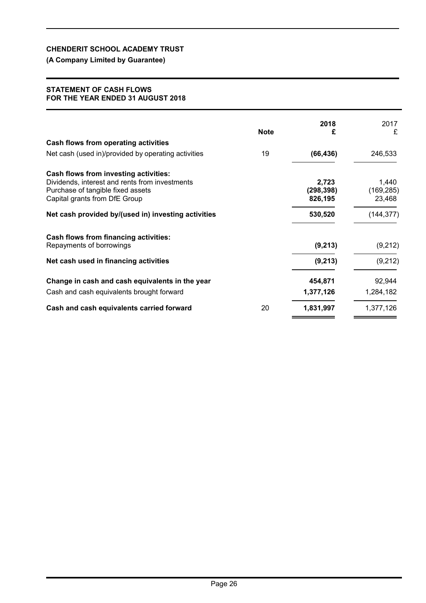## **(A Company Limited by Guarantee)**

### **STATEMENT OF CASH FLOWS FOR THE YEAR ENDED 31 AUGUST 2018**

|                                                                                                                                                               | <b>Note</b> | 2018<br>£                      | 2017<br>£                     |
|---------------------------------------------------------------------------------------------------------------------------------------------------------------|-------------|--------------------------------|-------------------------------|
| Cash flows from operating activities                                                                                                                          |             |                                |                               |
| Net cash (used in)/provided by operating activities                                                                                                           | 19          | (66, 436)                      | 246,533                       |
| Cash flows from investing activities:<br>Dividends, interest and rents from investments<br>Purchase of tangible fixed assets<br>Capital grants from DfE Group |             | 2,723<br>(298, 398)<br>826,195 | 1,440<br>(169, 285)<br>23,468 |
| Net cash provided by/(used in) investing activities                                                                                                           |             | 530,520                        | (144, 377)                    |
| <b>Cash flows from financing activities:</b><br>Repayments of borrowings                                                                                      |             | (9,213)                        | (9,212)                       |
| Net cash used in financing activities                                                                                                                         |             | (9, 213)                       | (9,212)                       |
| Change in cash and cash equivalents in the year<br>Cash and cash equivalents brought forward                                                                  |             | 454,871<br>1,377,126           | 92,944<br>1,284,182           |
| Cash and cash equivalents carried forward                                                                                                                     | 20          | 1,831,997                      | 1,377,126                     |
|                                                                                                                                                               |             |                                |                               |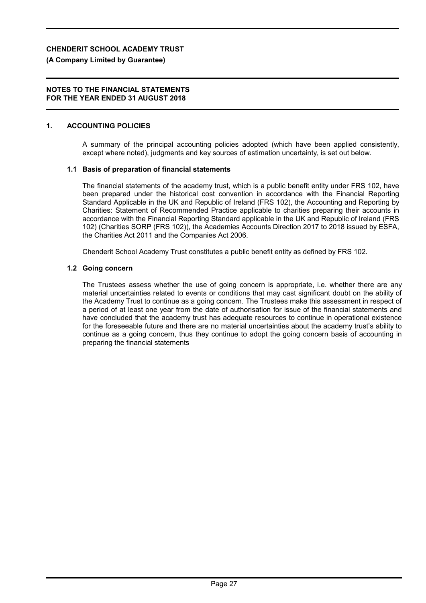### **(A Company Limited by Guarantee)**

#### **NOTES TO THE FINANCIAL STATEMENTS FOR THE YEAR ENDED 31 AUGUST 2018**

#### **1. ACCOUNTING POLICIES**

A summary of the principal accounting policies adopted (which have been applied consistently, except where noted), judgments and key sources of estimation uncertainty, is set out below.

#### **1.1 Basis of preparation of financial statements**

The financial statements of the academy trust, which is a public benefit entity under FRS 102, have been prepared under the historical cost convention in accordance with the Financial Reporting Standard Applicable in the UK and Republic of Ireland (FRS 102), the Accounting and Reporting by Charities: Statement of Recommended Practice applicable to charities preparing their accounts in accordance with the Financial Reporting Standard applicable in the UK and Republic of Ireland (FRS 102) (Charities SORP (FRS 102)), the Academies Accounts Direction 2017 to 2018 issued by ESFA, the Charities Act 2011 and the Companies Act 2006.

Chenderit School Academy Trust constitutes a public benefit entity as defined by FRS 102.

#### **1.2 Going concern**

The Trustees assess whether the use of going concern is appropriate, i.e. whether there are any material uncertainties related to events or conditions that may cast significant doubt on the ability of the Academy Trust to continue as a going concern. The Trustees make this assessment in respect of a period of at least one year from the date of authorisation for issue of the financial statements and have concluded that the academy trust has adequate resources to continue in operational existence for the foreseeable future and there are no material uncertainties about the academy trust's ability to continue as a going concern, thus they continue to adopt the going concern basis of accounting in preparing the financial statements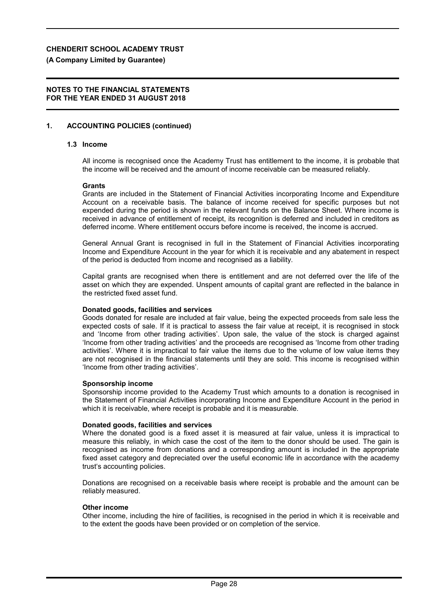**(A Company Limited by Guarantee)**

## **NOTES TO THE FINANCIAL STATEMENTS FOR THE YEAR ENDED 31 AUGUST 2018**

## **1. ACCOUNTING POLICIES (continued)**

## **1.3 Income**

All income is recognised once the Academy Trust has entitlement to the income, it is probable that the income will be received and the amount of income receivable can be measured reliably.

#### **Grants**

Grants are included in the Statement of Financial Activities incorporating Income and Expenditure Account on a receivable basis. The balance of income received for specific purposes but not expended during the period is shown in the relevant funds on the Balance Sheet. Where income is received in advance of entitlement of receipt, its recognition is deferred and included in creditors as deferred income. Where entitlement occurs before income is received, the income is accrued.

General Annual Grant is recognised in full in the Statement of Financial Activities incorporating Income and Expenditure Account in the year for which it is receivable and any abatement in respect of the period is deducted from income and recognised as a liability.

Capital grants are recognised when there is entitlement and are not deferred over the life of the asset on which they are expended. Unspent amounts of capital grant are reflected in the balance in the restricted fixed asset fund.

### **Donated goods, facilities and services**

Goods donated for resale are included at fair value, being the expected proceeds from sale less the expected costs of sale. If it is practical to assess the fair value at receipt, it is recognised in stock and 'Income from other trading activities'. Upon sale, the value of the stock is charged against 'Income from other trading activities' and the proceeds are recognised as 'Income from other trading activities'. Where it is impractical to fair value the items due to the volume of low value items they are not recognised in the financial statements until they are sold. This income is recognised within 'Income from other trading activities'.

#### **Sponsorship income**

Sponsorship income provided to the Academy Trust which amounts to a donation is recognised in the Statement of Financial Activities incorporating Income and Expenditure Account in the period in which it is receivable, where receipt is probable and it is measurable.

#### **Donated goods, facilities and services**

Where the donated good is a fixed asset it is measured at fair value, unless it is impractical to measure this reliably, in which case the cost of the item to the donor should be used. The gain is recognised as income from donations and a corresponding amount is included in the appropriate fixed asset category and depreciated over the useful economic life in accordance with the academy trust's accounting policies.

Donations are recognised on a receivable basis where receipt is probable and the amount can be reliably measured.

#### **Other income**

Other income, including the hire of facilities, is recognised in the period in which it is receivable and to the extent the goods have been provided or on completion of the service.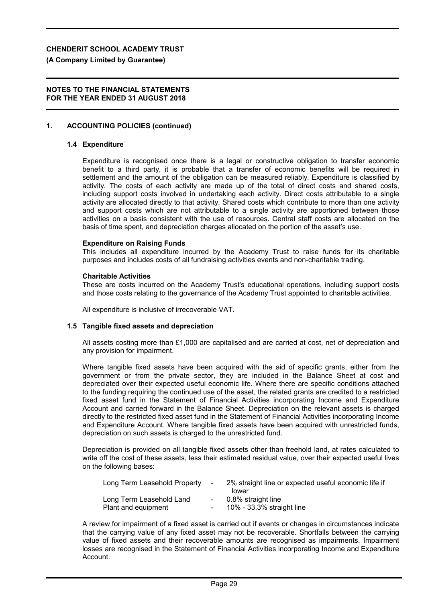### **(A Company Limited by Guarantee)**

#### **NOTES TO THE FINANCIAL STATEMENTS FOR THE YEAR ENDED 31 AUGUST 2018**

### **1. ACCOUNTING POLICIES (continued)**

#### **1.4 Expenditure**

Expenditure is recognised once there is a legal or constructive obligation to transfer economic benefit to a third party, it is probable that a transfer of economic benefits will be required in settlement and the amount of the obligation can be measured reliably. Expenditure is classified by activity. The costs of each activity are made up of the total of direct costs and shared costs, including support costs involved in undertaking each activity. Direct costs attributable to a single activity are allocated directly to that activity. Shared costs which contribute to more than one activity and support costs which are not attributable to a single activity are apportioned between those activities on a basis consistent with the use of resources. Central staff costs are allocated on the basis of time spent, and depreciation charges allocated on the portion of the asset's use.

#### **Expenditure on Raising Funds**

This includes all expenditure incurred by the Academy Trust to raise funds for its charitable purposes and includes costs of all fundraising activities events and non-charitable trading.

#### **Charitable Activities**

These are costs incurred on the Academy Trust's educational operations, including support costs and those costs relating to the governance of the Academy Trust appointed to charitable activities.

All expenditure is inclusive of irrecoverable VAT.

#### **1.5 Tangible fixed assets and depreciation**

All assets costing more than £1,000 are capitalised and are carried at cost, net of depreciation and any provision for impairment.

Where tangible fixed assets have been acquired with the aid of specific grants, either from the government or from the private sector, they are included in the Balance Sheet at cost and depreciated over their expected useful economic life. Where there are specific conditions attached to the funding requiring the continued use of the asset, the related grants are credited to a restricted fixed asset fund in the Statement of Financial Activities incorporating Income and Expenditure Account and carried forward in the Balance Sheet. Depreciation on the relevant assets is charged directly to the restricted fixed asset fund in the Statement of Financial Activities incorporating Income and Expenditure Account. Where tangible fixed assets have been acquired with unrestricted funds, depreciation on such assets is charged to the unrestricted fund.

Depreciation is provided on all tangible fixed assets other than freehold land, at rates calculated to write off the cost of these assets, less their estimated residual value, over their expected useful lives on the following bases:

| Long Term Leasehold Property | $\sim$        | 2% straight line or expected useful economic life if |
|------------------------------|---------------|------------------------------------------------------|
|                              |               | lower                                                |
| Long Term Leasehold Land     | $\sim 100$    | 0.8% straight line                                   |
| Plant and equipment          | $\sim$ $\sim$ | 10% - 33.3% straight line                            |

A review for impairment of a fixed asset is carried out if events or changes in circumstances indicate that the carrying value of any fixed asset may not be recoverable. Shortfalls between the carrying value of fixed assets and their recoverable amounts are recognised as impairments. Impairment losses are recognised in the Statement of Financial Activities incorporating Income and Expenditure Account.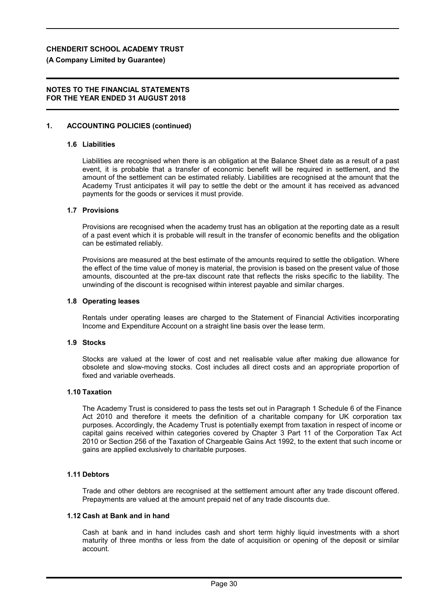#### **(A Company Limited by Guarantee)**

### **NOTES TO THE FINANCIAL STATEMENTS FOR THE YEAR ENDED 31 AUGUST 2018**

### **1. ACCOUNTING POLICIES (continued)**

#### **1.6 Liabilities**

Liabilities are recognised when there is an obligation at the Balance Sheet date as a result of a past event, it is probable that a transfer of economic benefit will be required in settlement, and the amount of the settlement can be estimated reliably. Liabilities are recognised at the amount that the Academy Trust anticipates it will pay to settle the debt or the amount it has received as advanced payments for the goods or services it must provide.

#### **1.7 Provisions**

Provisions are recognised when the academy trust has an obligation at the reporting date as a result of a past event which it is probable will result in the transfer of economic benefits and the obligation can be estimated reliably.

Provisions are measured at the best estimate of the amounts required to settle the obligation. Where the effect of the time value of money is material, the provision is based on the present value of those amounts, discounted at the pre-tax discount rate that reflects the risks specific to the liability. The unwinding of the discount is recognised within interest payable and similar charges.

#### **1.8 Operating leases**

Rentals under operating leases are charged to the Statement of Financial Activities incorporating Income and Expenditure Account on a straight line basis over the lease term.

#### **1.9 Stocks**

Stocks are valued at the lower of cost and net realisable value after making due allowance for obsolete and slow-moving stocks. Cost includes all direct costs and an appropriate proportion of fixed and variable overheads.

#### **1.10 Taxation**

The Academy Trust is considered to pass the tests set out in Paragraph 1 Schedule 6 of the Finance Act 2010 and therefore it meets the definition of a charitable company for UK corporation tax purposes. Accordingly, the Academy Trust is potentially exempt from taxation in respect of income or capital gains received within categories covered by Chapter 3 Part 11 of the Corporation Tax Act 2010 or Section 256 of the Taxation of Chargeable Gains Act 1992, to the extent that such income or gains are applied exclusively to charitable purposes.

#### **1.11 Debtors**

Trade and other debtors are recognised at the settlement amount after any trade discount offered. Prepayments are valued at the amount prepaid net of any trade discounts due.

### **1.12 Cash at Bank and in hand**

Cash at bank and in hand includes cash and short term highly liquid investments with a short maturity of three months or less from the date of acquisition or opening of the deposit or similar account.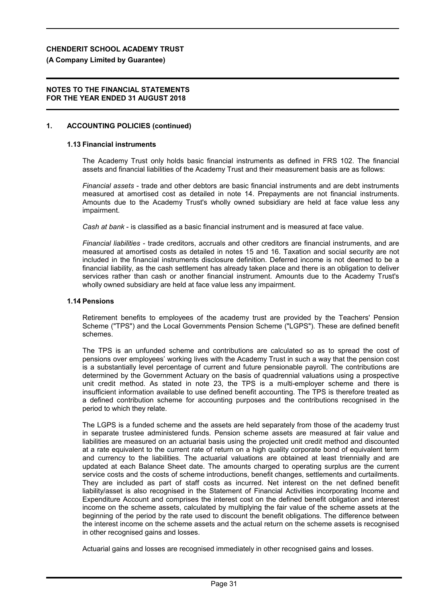#### **(A Company Limited by Guarantee)**

#### **NOTES TO THE FINANCIAL STATEMENTS FOR THE YEAR ENDED 31 AUGUST 2018**

### **1. ACCOUNTING POLICIES (continued)**

#### **1.13 Financial instruments**

The Academy Trust only holds basic financial instruments as defined in FRS 102. The financial assets and financial liabilities of the Academy Trust and their measurement basis are as follows:

*Financial assets* - trade and other debtors are basic financial instruments and are debt instruments measured at amortised cost as detailed in note 14. Prepayments are not financial instruments. Amounts due to the Academy Trust's wholly owned subsidiary are held at face value less any impairment.

*Cash at bank* - is classified as a basic financial instrument and is measured at face value.

*Financial liabilities* - trade creditors, accruals and other creditors are financial instruments, and are measured at amortised costs as detailed in notes 15 and 16. Taxation and social security are not included in the financial instruments disclosure definition. Deferred income is not deemed to be a financial liability, as the cash settlement has already taken place and there is an obligation to deliver services rather than cash or another financial instrument. Amounts due to the Academy Trust's wholly owned subsidiary are held at face value less any impairment.

#### **1.14 Pensions**

Retirement benefits to employees of the academy trust are provided by the Teachers' Pension Scheme ("TPS") and the Local Governments Pension Scheme ("LGPS"). These are defined benefit schemes.

The TPS is an unfunded scheme and contributions are calculated so as to spread the cost of pensions over employees' working lives with the Academy Trust in such a way that the pension cost is a substantially level percentage of current and future pensionable payroll. The contributions are determined by the Government Actuary on the basis of quadrennial valuations using a prospective unit credit method. As stated in note 23, the TPS is a multi-employer scheme and there is insufficient information available to use defined benefit accounting. The TPS is therefore treated as a defined contribution scheme for accounting purposes and the contributions recognised in the period to which they relate.

The LGPS is a funded scheme and the assets are held separately from those of the academy trust in separate trustee administered funds. Pension scheme assets are measured at fair value and liabilities are measured on an actuarial basis using the projected unit credit method and discounted at a rate equivalent to the current rate of return on a high quality corporate bond of equivalent term and currency to the liabilities. The actuarial valuations are obtained at least triennially and are updated at each Balance Sheet date. The amounts charged to operating surplus are the current service costs and the costs of scheme introductions, benefit changes, settlements and curtailments. They are included as part of staff costs as incurred. Net interest on the net defined benefit liability/asset is also recognised in the Statement of Financial Activities incorporating Income and Expenditure Account and comprises the interest cost on the defined benefit obligation and interest income on the scheme assets, calculated by multiplying the fair value of the scheme assets at the beginning of the period by the rate used to discount the benefit obligations. The difference between the interest income on the scheme assets and the actual return on the scheme assets is recognised in other recognised gains and losses.

Actuarial gains and losses are recognised immediately in other recognised gains and losses.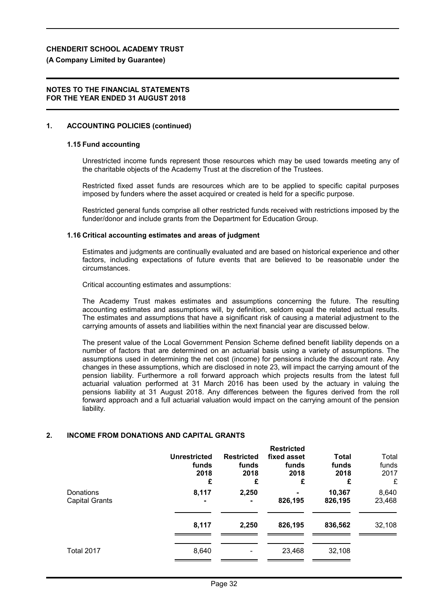## **(A Company Limited by Guarantee)**

## **NOTES TO THE FINANCIAL STATEMENTS FOR THE YEAR ENDED 31 AUGUST 2018**

## **1. ACCOUNTING POLICIES (continued)**

## **1.15 Fund accounting**

Unrestricted income funds represent those resources which may be used towards meeting any of the charitable objects of the Academy Trust at the discretion of the Trustees.

Restricted fixed asset funds are resources which are to be applied to specific capital purposes imposed by funders where the asset acquired or created is held for a specific purpose.

Restricted general funds comprise all other restricted funds received with restrictions imposed by the funder/donor and include grants from the Department for Education Group.

## **1.16 Critical accounting estimates and areas of judgment**

Estimates and judgments are continually evaluated and are based on historical experience and other factors, including expectations of future events that are believed to be reasonable under the circumstances.

Critical accounting estimates and assumptions:

The Academy Trust makes estimates and assumptions concerning the future. The resulting accounting estimates and assumptions will, by definition, seldom equal the related actual results. The estimates and assumptions that have a significant risk of causing a material adjustment to the carrying amounts of assets and liabilities within the next financial year are discussed below.

The present value of the Local Government Pension Scheme defined benefit liability depends on a number of factors that are determined on an actuarial basis using a variety of assumptions. The assumptions used in determining the net cost (income) for pensions include the discount rate. Any changes in these assumptions, which are disclosed in note 23, will impact the carrying amount of the pension liability. Furthermore a roll forward approach which projects results from the latest full actuarial valuation performed at 31 March 2016 has been used by the actuary in valuing the pensions liability at 31 August 2018. Any differences between the figures derived from the roll forward approach and a full actuarial valuation would impact on the carrying amount of the pension liability.

## **2. INCOME FROM DONATIONS AND CAPITAL GRANTS**

|                                    | <b>Unrestricted</b><br>funds<br>2018<br>£ | <b>Restricted</b><br>funds<br>2018<br>£ | <b>Restricted</b><br>fixed asset<br>funds<br>2018<br>£ | <b>Total</b><br>funds<br>2018<br>£ | Total<br>funds<br>2017<br>£ |
|------------------------------------|-------------------------------------------|-----------------------------------------|--------------------------------------------------------|------------------------------------|-----------------------------|
| Donations<br><b>Capital Grants</b> | 8,117<br>۰                                | 2,250                                   | 826,195                                                | 10,367<br>826,195                  | 8,640<br>23,468             |
|                                    | 8,117                                     | 2,250                                   | 826,195                                                | 836,562                            | 32,108                      |
| Total 2017                         | 8,640                                     |                                         | 23,468                                                 | 32,108                             |                             |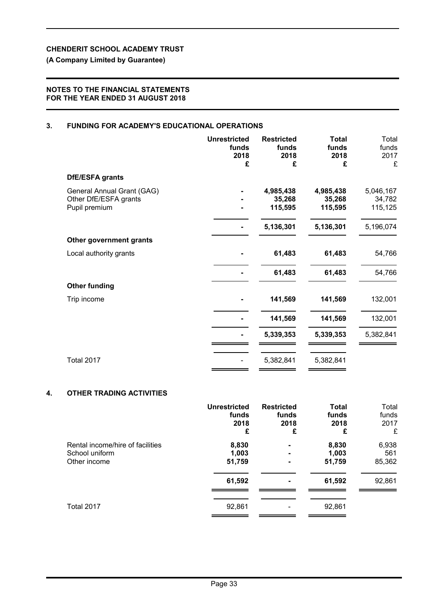## **(A Company Limited by Guarantee)**

## **NOTES TO THE FINANCIAL STATEMENTS FOR THE YEAR ENDED 31 AUGUST 2018**

## **3. FUNDING FOR ACADEMY'S EDUCATIONAL OPERATIONS**

|                            | <b>Unrestricted</b><br>funds<br>2018<br>£ | <b>Restricted</b><br>funds<br>2018<br>£ | <b>Total</b><br>funds<br>2018<br>£ | Total<br>funds<br>2017<br>£ |
|----------------------------|-------------------------------------------|-----------------------------------------|------------------------------------|-----------------------------|
| <b>DfE/ESFA grants</b>     |                                           |                                         |                                    |                             |
| General Annual Grant (GAG) |                                           | 4,985,438                               | 4,985,438                          | 5,046,167                   |
| Other DfE/ESFA grants      |                                           | 35,268                                  | 35,268                             | 34,782                      |
| Pupil premium              |                                           | 115,595                                 | 115,595                            | 115,125                     |
|                            |                                           | 5,136,301                               | 5,136,301                          | 5,196,074                   |
| Other government grants    |                                           |                                         |                                    |                             |
| Local authority grants     |                                           | 61,483                                  | 61,483                             | 54,766                      |
|                            |                                           | 61,483                                  | 61,483                             | 54,766                      |
| <b>Other funding</b>       |                                           |                                         |                                    |                             |
| Trip income                |                                           | 141,569                                 | 141,569                            | 132,001                     |
|                            |                                           | 141,569                                 | 141,569                            | 132,001                     |
|                            |                                           | 5,339,353                               | 5,339,353                          | 5,382,841                   |
|                            |                                           |                                         |                                    |                             |
| <b>Total 2017</b>          |                                           | 5,382,841                               | 5,382,841                          |                             |

## **4. OTHER TRADING ACTIVITIES**

|                                  | <b>Unrestricted</b> | <b>Restricted</b> | <b>Total</b> | Total  |
|----------------------------------|---------------------|-------------------|--------------|--------|
|                                  | funds               | funds             | funds        | funds  |
|                                  | 2018                | 2018              | 2018         | 2017   |
|                                  | £                   | £                 | £            | £      |
| Rental income/hire of facilities | 8,830               | $\blacksquare$    | 8,830        | 6,938  |
| School uniform                   | 1,003               |                   | 1,003        | 561    |
| Other income                     | 51,759              | -                 | 51,759       | 85,362 |
|                                  | 61,592              |                   | 61,592       | 92,861 |
| Total 2017                       | 92,861              |                   | 92,861       |        |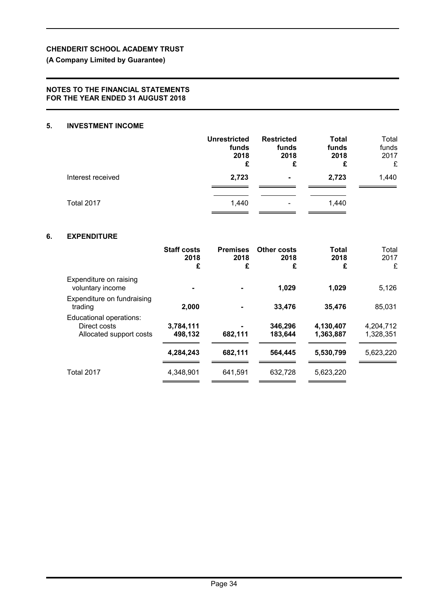## **(A Company Limited by Guarantee)**

## **NOTES TO THE FINANCIAL STATEMENTS FOR THE YEAR ENDED 31 AUGUST 2018**

## **5. INVESTMENT INCOME**

|                   | <b>Unrestricted</b><br>funds<br>2018<br>£ | <b>Restricted</b><br>funds<br>2018<br>£ | <b>Total</b><br>funds<br>2018<br>£ | Total<br>funds<br>2017<br>£ |
|-------------------|-------------------------------------------|-----------------------------------------|------------------------------------|-----------------------------|
| Interest received | 2,723                                     | $\blacksquare$                          | 2,723                              | 1,440                       |
| Total 2017        | 1,440                                     | $\overline{\phantom{0}}$                | 1,440                              |                             |

## **6. EXPENDITURE**

| <b>Staff costs</b><br>2018<br>£ | <b>Premises</b><br>2018<br>£ | <b>Other costs</b><br>2018<br>£ | Total<br>2018<br>£     | Total<br>2017<br>£     |
|---------------------------------|------------------------------|---------------------------------|------------------------|------------------------|
|                                 |                              | 1,029                           | 1,029                  | 5,126                  |
| 2,000                           |                              | 33,476                          | 35,476                 | 85,031                 |
| 3,784,111<br>498.132            | 682,111                      | 346,296<br>183.644              | 4,130,407<br>1,363,887 | 4,204,712<br>1,328,351 |
| 4,284,243                       | 682.111                      | 564.445                         | 5,530,799              | 5,623,220              |
| 4,348,901                       | 641,591                      | 632,728                         | 5,623,220              |                        |
|                                 |                              |                                 |                        |                        |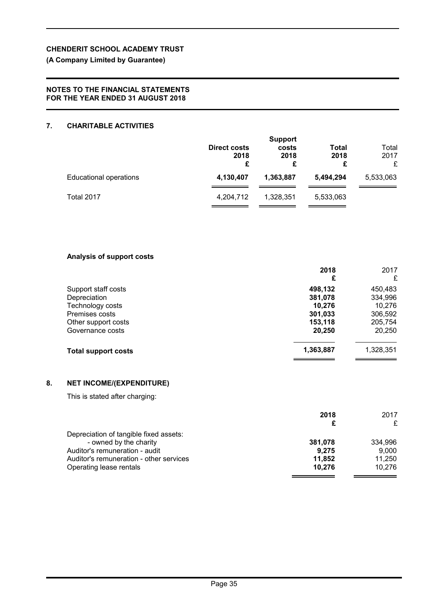## **(A Company Limited by Guarantee)**

## **NOTES TO THE FINANCIAL STATEMENTS FOR THE YEAR ENDED 31 AUGUST 2018**

## **7. CHARITABLE ACTIVITIES**

|                               | Direct costs<br>2018<br>£ | <b>Support</b><br>costs<br>2018<br>£ | Total<br>2018<br>£ | Total<br>2017<br>£ |
|-------------------------------|---------------------------|--------------------------------------|--------------------|--------------------|
| <b>Educational operations</b> | 4,130,407                 | 1,363,887                            | 5,494,294          | 5,533,063          |
| Total 2017                    | 4,204,712                 | 1,328,351                            | 5,533,063          |                    |

## **Analysis of support costs**

|                            | 2018<br>£ | 2017<br>£ |
|----------------------------|-----------|-----------|
| Support staff costs        | 498,132   | 450,483   |
| Depreciation               | 381,078   | 334,996   |
| Technology costs           | 10,276    | 10,276    |
| Premises costs             | 301,033   | 306,592   |
| Other support costs        | 153,118   | 205,754   |
| Governance costs           | 20,250    | 20,250    |
| <b>Total support costs</b> | 1,363,887 | 1,328,351 |

## **8. NET INCOME/(EXPENDITURE)**

This is stated after charging:

|                                         | 2018    | 2017    |
|-----------------------------------------|---------|---------|
|                                         |         |         |
| Depreciation of tangible fixed assets:  |         |         |
| - owned by the charity                  | 381,078 | 334,996 |
| Auditor's remuneration - audit          | 9.275   | 9.000   |
| Auditor's remuneration - other services | 11.852  | 11.250  |
| Operating lease rentals                 | 10,276  | 10.276  |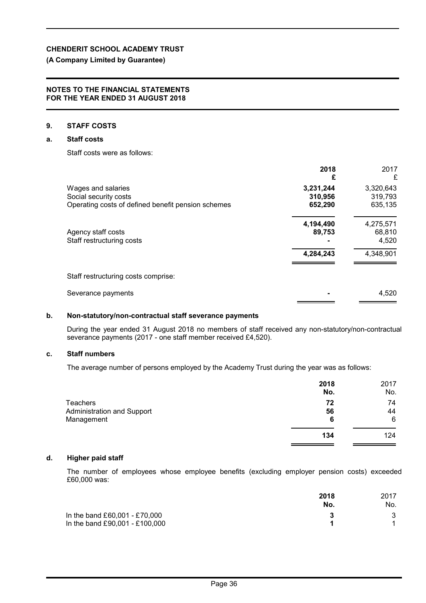## **(A Company Limited by Guarantee)**

#### **NOTES TO THE FINANCIAL STATEMENTS FOR THE YEAR ENDED 31 AUGUST 2018**

#### **9. STAFF COSTS**

### **a. Staff costs**

Staff costs were as follows:

|                                                    | 2018<br>£ | 2017<br>£ |
|----------------------------------------------------|-----------|-----------|
| Wages and salaries                                 | 3,231,244 | 3,320,643 |
| Social security costs                              | 310,956   | 319,793   |
| Operating costs of defined benefit pension schemes | 652,290   | 635,135   |
|                                                    | 4,194,490 | 4,275,571 |
| Agency staff costs                                 | 89,753    | 68,810    |
| Staff restructuring costs                          |           | 4,520     |
|                                                    | 4,284,243 | 4,348,901 |
| Staff restructuring costs comprise:                |           |           |
| Severance payments                                 |           | 4,520     |
|                                                    |           |           |

### **b. Non-statutory/non-contractual staff severance payments**

During the year ended 31 August 2018 no members of staff received any non-statutory/non-contractual severance payments (2017 - one staff member received £4,520).

#### **c. Staff numbers**

The average number of persons employed by the Academy Trust during the year was as follows:

|                            | 2018<br>No. | 2017<br>No. |
|----------------------------|-------------|-------------|
| <b>Teachers</b>            | 72          | 74          |
| Administration and Support | 56          | 44          |
| Management                 | 6           | 6           |
|                            | 134         | 124         |

### **d. Higher paid staff**

The number of employees whose employee benefits (excluding employer pension costs) exceeded £60,000 was:

|                                | 2018<br>No. | 2017<br>No. |
|--------------------------------|-------------|-------------|
| In the band £60,001 - £70,000  |             | 3           |
| In the band £90,001 - £100,000 |             |             |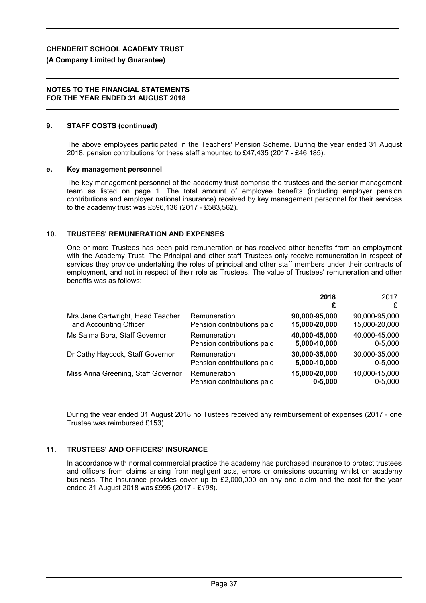#### **(A Company Limited by Guarantee)**

#### **NOTES TO THE FINANCIAL STATEMENTS FOR THE YEAR ENDED 31 AUGUST 2018**

### **9. STAFF COSTS (continued)**

The above employees participated in the Teachers' Pension Scheme. During the year ended 31 August 2018, pension contributions for these staff amounted to £47,435 (2017 - £46,185).

#### **e. Key management personnel**

The key management personnel of the academy trust comprise the trustees and the senior management team as listed on page 1. The total amount of employee benefits (including employer pension contributions and employer national insurance) received by key management personnel for their services to the academy trust was £596,136 (2017 - £583,562).

### **10. TRUSTEES' REMUNERATION AND EXPENSES**

One or more Trustees has been paid remuneration or has received other benefits from an employment with the Academy Trust. The Principal and other staff Trustees only receive remuneration in respect of services they provide undertaking the roles of principal and other staff members under their contracts of employment, and not in respect of their role as Trustees. The value of Trustees' remuneration and other benefits was as follows:

|                                    |                            | 2018<br>£     | 2017<br>£     |
|------------------------------------|----------------------------|---------------|---------------|
| Mrs Jane Cartwright, Head Teacher  | Remuneration               | 90,000-95,000 | 90,000-95,000 |
| and Accounting Officer             | Pension contributions paid | 15,000-20,000 | 15,000-20,000 |
| Ms Salma Bora, Staff Governor      | Remuneration               | 40,000-45,000 | 40,000-45,000 |
|                                    | Pension contributions paid | 5,000-10,000  | $0 - 5,000$   |
| Dr Cathy Haycock, Staff Governor   | Remuneration               | 30,000-35,000 | 30,000-35,000 |
|                                    | Pension contributions paid | 5,000-10,000  | $0 - 5,000$   |
| Miss Anna Greening, Staff Governor | Remuneration               | 15,000-20,000 | 10,000-15,000 |
|                                    | Pension contributions paid | $0 - 5,000$   | $0 - 5,000$   |

During the year ended 31 August 2018 no Tustees received any reimbursement of expenses (2017 - one Trustee was reimbursed £153).

### **11. TRUSTEES' AND OFFICERS' INSURANCE**

In accordance with normal commercial practice the academy has purchased insurance to protect trustees and officers from claims arising from negligent acts, errors or omissions occurring whilst on academy business. The insurance provides cover up to £2,000,000 on any one claim and the cost for the year ended 31 August 2018 was £995 (2017 - £*198*).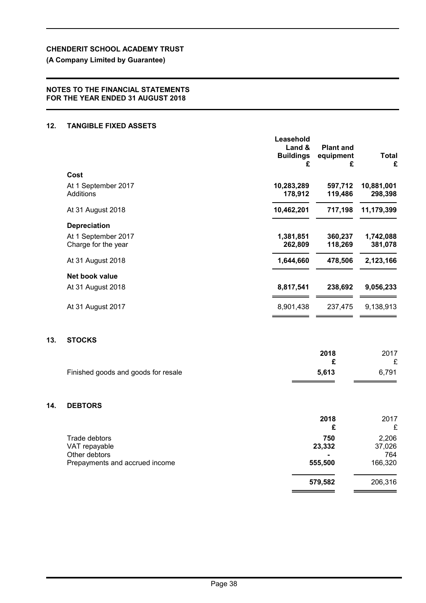## **(A Company Limited by Guarantee)**

## **NOTES TO THE FINANCIAL STATEMENTS FOR THE YEAR ENDED 31 AUGUST 2018**

### **12. TANGIBLE FIXED ASSETS**

**13.** 

**14.** 

|                                                 | Leasehold<br>Land &<br><b>Buildings</b> | <b>Plant and</b><br>equipment | <b>Total</b>          |
|-------------------------------------------------|-----------------------------------------|-------------------------------|-----------------------|
| Cost                                            | £                                       | £                             | £                     |
| At 1 September 2017<br>Additions                | 10,283,289<br>178,912                   | 597,712<br>119,486            | 10,881,001<br>298,398 |
| At 31 August 2018                               | 10,462,201                              | 717,198                       | 11,179,399            |
| <b>Depreciation</b>                             |                                         |                               |                       |
| At 1 September 2017<br>Charge for the year      | 1,381,851<br>262,809                    | 360,237<br>118,269            | 1,742,088<br>381,078  |
| At 31 August 2018                               | 1,644,660                               | 478,506                       | 2,123,166             |
| Net book value                                  |                                         |                               |                       |
| At 31 August 2018                               | 8,817,541                               | 238,692                       | 9,056,233             |
| At 31 August 2017                               | 8,901,438                               | 237,475                       | 9,138,913             |
| <b>STOCKS</b>                                   |                                         |                               |                       |
|                                                 |                                         | 2018                          | 2017                  |
| Finished goods and goods for resale             |                                         | £<br>5,613                    | £<br>6,791            |
| <b>DEBTORS</b>                                  |                                         |                               |                       |
|                                                 |                                         | 2018<br>£                     | 2017<br>£             |
| Trade debtors<br>VAT repayable                  |                                         | 750<br>23,332                 | 2,206<br>37,026       |
| Other debtors<br>Prepayments and accrued income |                                         | 555,500                       | 764<br>166,320        |
|                                                 |                                         | 579,582                       | 206,316               |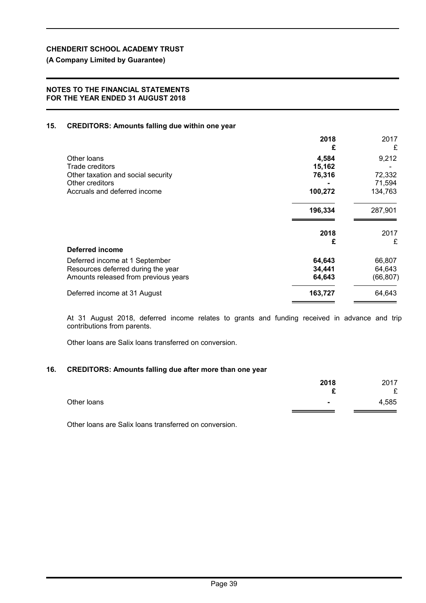**(A Company Limited by Guarantee)**

## **NOTES TO THE FINANCIAL STATEMENTS FOR THE YEAR ENDED 31 AUGUST 2018**

## **15. CREDITORS: Amounts falling due within one year**

|                                      | 2018<br>£ | 2017<br>£ |
|--------------------------------------|-----------|-----------|
| Other Ioans                          | 4,584     | 9,212     |
| Trade creditors                      | 15,162    |           |
| Other taxation and social security   | 76,316    | 72,332    |
| Other creditors                      |           | 71,594    |
| Accruals and deferred income         | 100,272   | 134,763   |
|                                      | 196,334   | 287,901   |
|                                      | 2018      | 2017      |
|                                      | £         | £         |
| Deferred income                      |           |           |
| Deferred income at 1 September       | 64,643    | 66,807    |
| Resources deferred during the year   | 34,441    | 64,643    |
| Amounts released from previous years | 64,643    | (66, 807) |
| Deferred income at 31 August         | 163,727   | 64,643    |
|                                      |           |           |

At 31 August 2018, deferred income relates to grants and funding received in advance and trip contributions from parents.

Other loans are Salix loans transferred on conversion.

## **16. CREDITORS: Amounts falling due after more than one year**

|             | 2018<br>$\mathbf{\Gamma}$ | 2017<br>$\sim$ |
|-------------|---------------------------|----------------|
| Other loans | $\blacksquare$            | ~<br>4,585     |
|             |                           |                |

Other loans are Salix loans transferred on conversion.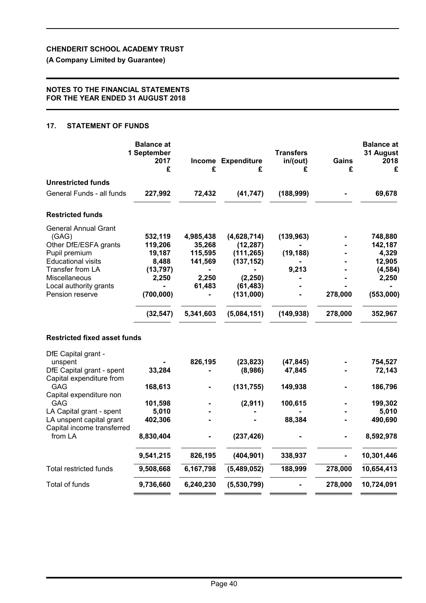**(A Company Limited by Guarantee)**

## **NOTES TO THE FINANCIAL STATEMENTS FOR THE YEAR ENDED 31 AUGUST 2018**

## **17. STATEMENT OF FUNDS**

|                                                        | <b>Balance at</b><br>1 September<br>2017<br>£ | £         | Income Expenditure<br>£ | <b>Transfers</b><br>in/(out)<br>£ | Gains<br>£ | <b>Balance at</b><br>31 August<br>2018<br>£ |
|--------------------------------------------------------|-----------------------------------------------|-----------|-------------------------|-----------------------------------|------------|---------------------------------------------|
| <b>Unrestricted funds</b>                              |                                               |           |                         |                                   |            |                                             |
| General Funds - all funds                              | 227,992                                       | 72,432    | (41, 747)               | (188, 999)                        |            | 69,678                                      |
| <b>Restricted funds</b>                                |                                               |           |                         |                                   |            |                                             |
| <b>General Annual Grant</b>                            |                                               |           |                         |                                   |            |                                             |
| (GAG)                                                  | 532,119                                       | 4,985,438 | (4,628,714)             | (139, 963)                        |            | 748,880                                     |
| Other DfE/ESFA grants                                  | 119,206                                       | 35,268    | (12, 287)               |                                   |            | 142,187                                     |
| Pupil premium                                          | 19,187                                        | 115,595   | (111, 265)              | (19, 188)                         |            | 4,329                                       |
| <b>Educational visits</b>                              | 8,488                                         | 141,569   | (137, 152)              |                                   |            | 12,905                                      |
| Transfer from LA                                       | (13, 797)                                     |           |                         | 9,213                             |            | (4, 584)                                    |
| Miscellaneous                                          | 2,250                                         | 2,250     | (2, 250)                |                                   |            | 2,250                                       |
| Local authority grants                                 |                                               | 61,483    | (61, 483)               |                                   |            |                                             |
| Pension reserve                                        | (700,000)                                     |           | (131,000)               |                                   | 278,000    | (553,000)                                   |
|                                                        | (32, 547)                                     | 5,341,603 | (5,084,151)             | (149, 938)                        | 278,000    | 352,967                                     |
| <b>Restricted fixed asset funds</b>                    |                                               |           |                         |                                   |            |                                             |
| DfE Capital grant -                                    |                                               |           |                         |                                   |            |                                             |
| unspent                                                |                                               | 826,195   | (23, 823)               | (47, 845)                         |            | 754,527                                     |
| DfE Capital grant - spent<br>Capital expenditure from  | 33,284                                        |           | (8,986)                 | 47,845                            |            | 72,143                                      |
| GAG                                                    | 168,613                                       |           | (131, 755)              | 149,938                           |            | 186,796                                     |
| Capital expenditure non                                |                                               |           |                         |                                   |            |                                             |
| GAG                                                    | 101,598                                       |           | (2,911)                 | 100,615                           |            | 199,302                                     |
| LA Capital grant - spent                               | 5,010                                         |           |                         |                                   |            | 5,010                                       |
| LA unspent capital grant<br>Capital income transferred | 402,306                                       |           |                         | 88,384                            |            | 490,690                                     |
| from LA                                                | 8,830,404                                     |           | (237, 426)              |                                   |            | 8,592,978                                   |
|                                                        | 9,541,215                                     | 826,195   | (404, 901)              | 338,937                           |            | 10,301,446                                  |
| <b>Total restricted funds</b>                          | 9,508,668                                     | 6,167,798 | (5,489,052)             | 188,999                           | 278,000    | 10,654,413                                  |
| <b>Total of funds</b>                                  | 9,736,660                                     | 6,240,230 | (5,530,799)             |                                   | 278,000    | 10,724,091                                  |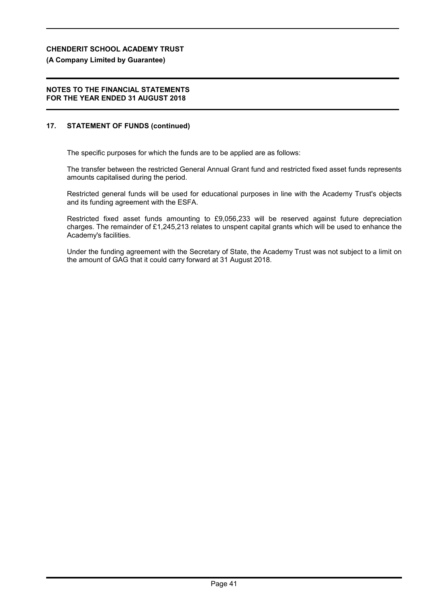## **(A Company Limited by Guarantee)**

### **NOTES TO THE FINANCIAL STATEMENTS FOR THE YEAR ENDED 31 AUGUST 2018**

## **17. STATEMENT OF FUNDS (continued)**

The specific purposes for which the funds are to be applied are as follows:

The transfer between the restricted General Annual Grant fund and restricted fixed asset funds represents amounts capitalised during the period.

Restricted general funds will be used for educational purposes in line with the Academy Trust's objects and its funding agreement with the ESFA.

Restricted fixed asset funds amounting to £9,056,233 will be reserved against future depreciation charges. The remainder of £1,245,213 relates to unspent capital grants which will be used to enhance the Academy's facilities.

Under the funding agreement with the Secretary of State, the Academy Trust was not subject to a limit on the amount of GAG that it could carry forward at 31 August 2018.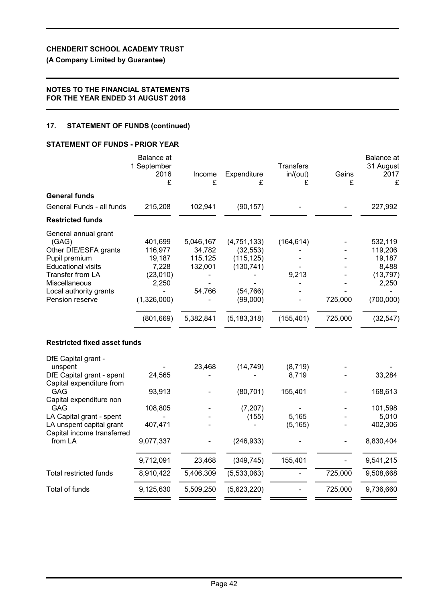## **(A Company Limited by Guarantee)**

## **NOTES TO THE FINANCIAL STATEMENTS FOR THE YEAR ENDED 31 AUGUST 2018**

## **17. STATEMENT OF FUNDS (continued)**

### **STATEMENT OF FUNDS - PRIOR YEAR**

|                                                                                                                                                                                                                                          | <b>Balance</b> at<br>1 September<br>2016<br>£                                           | Income<br>£                                                      | Expenditure<br>£                                                                               | <b>Transfers</b><br>in/(out)<br>£                 | Gains<br>£         | Balance at<br>31 August<br>2017<br>£                                                  |
|------------------------------------------------------------------------------------------------------------------------------------------------------------------------------------------------------------------------------------------|-----------------------------------------------------------------------------------------|------------------------------------------------------------------|------------------------------------------------------------------------------------------------|---------------------------------------------------|--------------------|---------------------------------------------------------------------------------------|
| <b>General funds</b>                                                                                                                                                                                                                     |                                                                                         |                                                                  |                                                                                                |                                                   |                    |                                                                                       |
| General Funds - all funds                                                                                                                                                                                                                | 215,208                                                                                 | 102,941                                                          | (90, 157)                                                                                      |                                                   |                    | 227,992                                                                               |
| <b>Restricted funds</b>                                                                                                                                                                                                                  |                                                                                         |                                                                  |                                                                                                |                                                   |                    |                                                                                       |
| General annual grant<br>(GAG)<br>Other DfE/ESFA grants<br>Pupil premium<br><b>Educational visits</b><br><b>Transfer from LA</b><br>Miscellaneous<br>Local authority grants<br>Pension reserve                                            | 401,699<br>116,977<br>19,187<br>7,228<br>(23,010)<br>2,250<br>(1,326,000)<br>(801, 669) | 5,046,167<br>34,782<br>115,125<br>132,001<br>54,766<br>5,382,841 | (4,751,133)<br>(32, 553)<br>(115, 125)<br>(130, 741)<br>(54, 766)<br>(99,000)<br>(5, 183, 318) | (164, 614)<br>9,213<br>(155, 401)                 | 725,000<br>725,000 | 532,119<br>119,206<br>19,187<br>8,488<br>(13, 797)<br>2,250<br>(700,000)<br>(32, 547) |
| <b>Restricted fixed asset funds</b>                                                                                                                                                                                                      |                                                                                         |                                                                  |                                                                                                |                                                   |                    |                                                                                       |
| DfE Capital grant -<br>unspent<br>DfE Capital grant - spent<br>Capital expenditure from<br><b>GAG</b><br>Capital expenditure non<br>GAG<br>LA Capital grant - spent<br>LA unspent capital grant<br>Capital income transferred<br>from LA | 24,565<br>93,913<br>108,805<br>407,471<br>9,077,337                                     | 23,468                                                           | (14, 749)<br>(80, 701)<br>(7, 207)<br>(155)<br>(246, 933)                                      | (8, 719)<br>8,719<br>155,401<br>5,165<br>(5, 165) |                    | 33,284<br>168,613<br>101,598<br>5,010<br>402,306<br>8,830,404                         |
|                                                                                                                                                                                                                                          | 9,712,091                                                                               | 23,468                                                           | (349, 745)                                                                                     | 155,401                                           |                    | 9,541,215                                                                             |
| <b>Total restricted funds</b>                                                                                                                                                                                                            | 8,910,422                                                                               | 5,406,309                                                        | (5,533,063)                                                                                    |                                                   | 725,000            | 9,508,668                                                                             |
| Total of funds                                                                                                                                                                                                                           | 9,125,630                                                                               | 5,509,250                                                        | (5,623,220)                                                                                    |                                                   | 725,000            | 9,736,660                                                                             |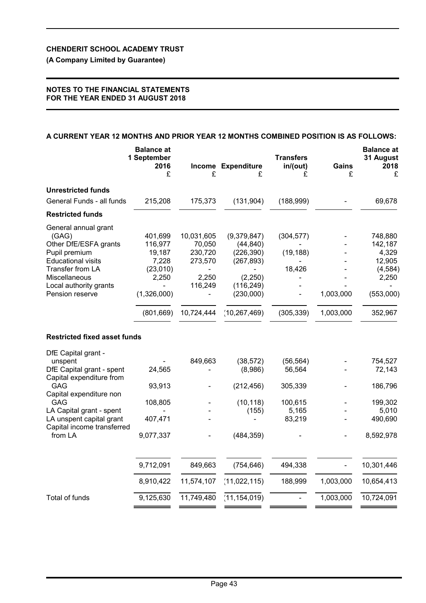**(A Company Limited by Guarantee)**

## **NOTES TO THE FINANCIAL STATEMENTS FOR THE YEAR ENDED 31 AUGUST 2018**

## **A CURRENT YEAR 12 MONTHS AND PRIOR YEAR 12 MONTHS COMBINED POSITION IS AS FOLLOWS:**

|                                                                                                                                                                                        | <b>Balance at</b><br>1 September<br>2016<br>£                                           | £                                                                            | <b>Income Expenditure</b><br>£                                                                               | <b>Transfers</b><br>in/(out)<br>£               | Gains<br>£             | <b>Balance at</b><br>31 August<br>2018<br>£                                        |
|----------------------------------------------------------------------------------------------------------------------------------------------------------------------------------------|-----------------------------------------------------------------------------------------|------------------------------------------------------------------------------|--------------------------------------------------------------------------------------------------------------|-------------------------------------------------|------------------------|------------------------------------------------------------------------------------|
| <b>Unrestricted funds</b>                                                                                                                                                              |                                                                                         |                                                                              |                                                                                                              |                                                 |                        |                                                                                    |
| General Funds - all funds                                                                                                                                                              | 215,208                                                                                 | 175,373                                                                      | (131, 904)                                                                                                   | (188,999)                                       |                        | 69,678                                                                             |
| <b>Restricted funds</b>                                                                                                                                                                |                                                                                         |                                                                              |                                                                                                              |                                                 |                        |                                                                                    |
| General annual grant<br>(GAG)<br>Other DfE/ESFA grants<br>Pupil premium<br><b>Educational visits</b><br>Transfer from LA<br>Miscellaneous<br>Local authority grants<br>Pension reserve | 401,699<br>116,977<br>19,187<br>7,228<br>(23,010)<br>2,250<br>(1,326,000)<br>(801, 669) | 10,031,605<br>70,050<br>230,720<br>273,570<br>2,250<br>116,249<br>10,724,444 | (9,379,847)<br>(44, 840)<br>(226, 390)<br>(267, 893)<br>(2,250)<br>(116, 249)<br>(230,000)<br>(10, 267, 469) | (304, 577)<br>(19, 188)<br>18,426<br>(305, 339) | 1,003,000<br>1,003,000 | 748,880<br>142,187<br>4,329<br>12,905<br>(4, 584)<br>2,250<br>(553,000)<br>352,967 |
| <b>Restricted fixed asset funds</b>                                                                                                                                                    |                                                                                         |                                                                              |                                                                                                              |                                                 |                        |                                                                                    |
| DfE Capital grant -<br>unspent<br>DfE Capital grant - spent<br>Capital expenditure from                                                                                                | 24,565                                                                                  | 849,663                                                                      | (38, 572)<br>(8,986)                                                                                         | (56, 564)<br>56,564                             |                        | 754,527<br>72,143                                                                  |
| GAG                                                                                                                                                                                    | 93,913                                                                                  |                                                                              | (212, 456)                                                                                                   | 305,339                                         |                        | 186,796                                                                            |
| Capital expenditure non<br>GAG<br>LA Capital grant - spent<br>LA unspent capital grant<br>Capital income transferred                                                                   | 108,805<br>407,471                                                                      |                                                                              | (10, 118)<br>(155)                                                                                           | 100,615<br>5,165<br>83,219                      |                        | 199,302<br>5,010<br>490,690                                                        |
| from LA                                                                                                                                                                                | 9,077,337                                                                               |                                                                              | (484, 359)                                                                                                   |                                                 |                        | 8,592,978                                                                          |
|                                                                                                                                                                                        | 9,712,091                                                                               | 849,663                                                                      | (754, 646)                                                                                                   | 494,338                                         |                        | 10,301,446                                                                         |
|                                                                                                                                                                                        | 8,910,422                                                                               | 11,574,107                                                                   | (11, 022, 115)                                                                                               | 188,999                                         | 1,003,000              | 10,654,413                                                                         |
| Total of funds                                                                                                                                                                         | 9,125,630                                                                               | 11,749,480                                                                   | (11, 154, 019)                                                                                               |                                                 | 1,003,000              | 10,724,091                                                                         |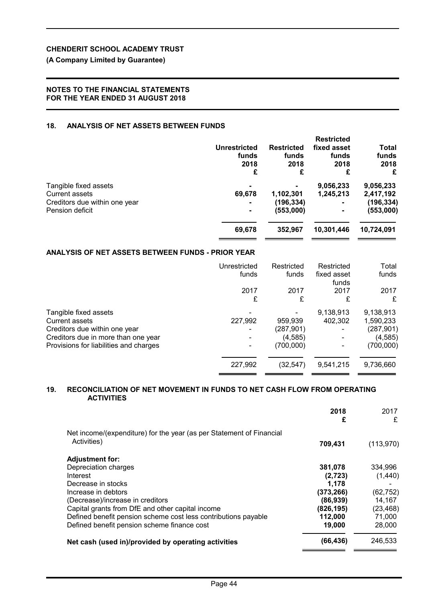## **(A Company Limited by Guarantee)**

## **NOTES TO THE FINANCIAL STATEMENTS FOR THE YEAR ENDED 31 AUGUST 2018**

## **18. ANALYSIS OF NET ASSETS BETWEEN FUNDS**

|                               | <b>Unrestricted</b><br>funds<br>2018<br>£ | <b>Restricted</b><br>funds<br>2018<br>£ | <b>Restricted</b><br>fixed asset<br>funds<br>2018<br>£ | <b>Total</b><br>funds<br>2018<br>£ |
|-------------------------------|-------------------------------------------|-----------------------------------------|--------------------------------------------------------|------------------------------------|
| Tangible fixed assets         | $\blacksquare$                            |                                         | 9,056,233                                              | 9,056,233                          |
| Current assets                | 69,678                                    | 1,102,301                               | 1.245.213                                              | 2,417,192                          |
| Creditors due within one year | $\blacksquare$                            | (196, 334)                              | ۰                                                      | (196,334)                          |
| Pension deficit               | $\blacksquare$                            | (553,000)                               |                                                        | (553,000)                          |
|                               | 69,678                                    | 352,967                                 | 10,301,446                                             | 10,724,091                         |
|                               |                                           |                                         |                                                        |                                    |

## **ANALYSIS OF NET ASSETS BETWEEN FUNDS - PRIOR YEAR**

|                                        | Unrestricted<br>funds | Restricted<br>funds | Restricted<br>fixed asset<br>funds | Total<br>funds |
|----------------------------------------|-----------------------|---------------------|------------------------------------|----------------|
|                                        | 2017                  | 2017                | 2017                               | 2017           |
|                                        | £                     | £                   | £                                  | £              |
| Tangible fixed assets                  |                       |                     | 9,138,913                          | 9,138,913      |
| <b>Current assets</b>                  | 227,992               | 959,939             | 402,302                            | 1,590,233      |
| Creditors due within one year          |                       | (287, 901)          |                                    | (287, 901)     |
| Creditors due in more than one year    |                       | (4,585)             |                                    | (4, 585)       |
| Provisions for liabilities and charges |                       | (700,000)           |                                    | (700,000)      |
|                                        | 227,992               | (32,547)            | 9,541,215                          | 9,736,660      |

#### **19. RECONCILIATION OF NET MOVEMENT IN FUNDS TO NET CASH FLOW FROM OPERATING ACTIVITIES**

|                                                                      | 2018<br>£  | 2017<br>£ |
|----------------------------------------------------------------------|------------|-----------|
| Net income/(expenditure) for the year (as per Statement of Financial |            |           |
| Activities)                                                          | 709,431    | (113,970) |
| <b>Adjustment for:</b>                                               |            |           |
| Depreciation charges                                                 | 381,078    | 334.996   |
| Interest                                                             | (2,723)    | (1,440)   |
| Decrease in stocks                                                   | 1,178      |           |
| Increase in debtors                                                  | (373, 266) | (62, 752) |
| (Decrease)/increase in creditors                                     | (86, 939)  | 14,167    |
| Capital grants from DfE and other capital income                     | (826, 195) | (23, 468) |
| Defined benefit pension scheme cost less contributions payable       | 112,000    | 71,000    |
| Defined benefit pension scheme finance cost                          | 19,000     | 28,000    |
| Net cash (used in)/provided by operating activities                  | (66, 436)  | 246,533   |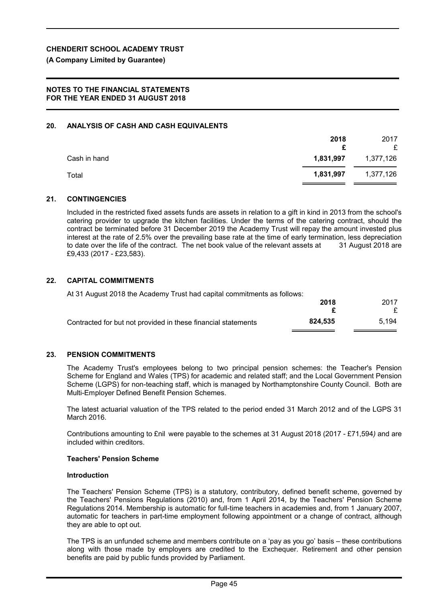#### **(A Company Limited by Guarantee)**

## **NOTES TO THE FINANCIAL STATEMENTS FOR THE YEAR ENDED 31 AUGUST 2018**

### **20. ANALYSIS OF CASH AND CASH EQUIVALENTS**

|              | 2018      | 2017<br>£ |
|--------------|-----------|-----------|
| Cash in hand | 1,831,997 | 1,377,126 |
| Total        | 1,831,997 | 1,377,126 |

#### **21. CONTINGENCIES**

Included in the restricted fixed assets funds are assets in relation to a gift in kind in 2013 from the school's catering provider to upgrade the kitchen facilities. Under the terms of the catering contract, should the contract be terminated before 31 December 2019 the Academy Trust will repay the amount invested plus interest at the rate of 2.5% over the prevailing base rate at the time of early termination, less depreciation to date over the life of the contract. The net book value of the relevant assets at 31 August 2018 are £9,433 (2017 - £23,583).

#### **22. CAPITAL COMMITMENTS**

At 31 August 2018 the Academy Trust had capital commitments as follows:

|                                                               | 2018    | 2017  |
|---------------------------------------------------------------|---------|-------|
|                                                               |         |       |
| Contracted for but not provided in these financial statements | 824.535 | 5.194 |

### **23. PENSION COMMITMENTS**

The Academy Trust's employees belong to two principal pension schemes: the Teacher's Pension Scheme for England and Wales (TPS) for academic and related staff; and the Local Government Pension Scheme (LGPS) for non-teaching staff, which is managed by Northamptonshire County Council. Both are Multi-Employer Defined Benefit Pension Schemes.

The latest actuarial valuation of the TPS related to the period ended 31 March 2012 and of the LGPS 31 March 2016.

Contributions amounting to £nil were payable to the schemes at 31 August 2018 (2017 - £71,594*)* and are included within creditors.

#### **Teachers' Pension Scheme**

#### **Introduction**

The Teachers' Pension Scheme (TPS) is a statutory, contributory, defined benefit scheme, governed by the Teachers' Pensions Regulations (2010) and, from 1 April 2014, by the Teachers' Pension Scheme Regulations 2014. Membership is automatic for full-time teachers in academies and, from 1 January 2007, automatic for teachers in part-time employment following appointment or a change of contract, although they are able to opt out.

The TPS is an unfunded scheme and members contribute on a 'pay as you go' basis – these contributions along with those made by employers are credited to the Exchequer. Retirement and other pension benefits are paid by public funds provided by Parliament.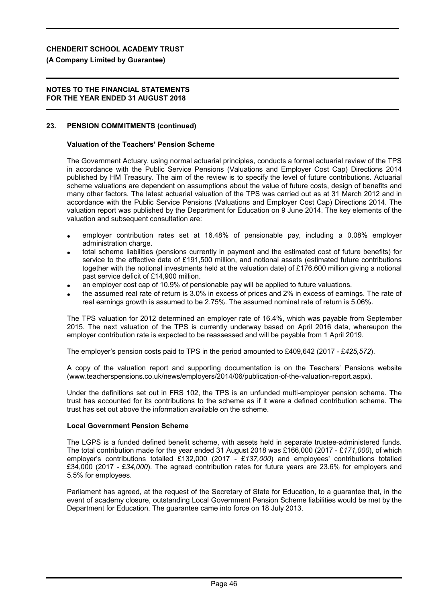### **(A Company Limited by Guarantee)**

### **NOTES TO THE FINANCIAL STATEMENTS FOR THE YEAR ENDED 31 AUGUST 2018**

## **23. PENSION COMMITMENTS (continued)**

### **Valuation of the Teachers' Pension Scheme**

The Government Actuary, using normal actuarial principles, conducts a formal actuarial review of the TPS in accordance with the Public Service Pensions (Valuations and Employer Cost Cap) Directions 2014 published by HM Treasury. The aim of the review is to specify the level of future contributions. Actuarial scheme valuations are dependent on assumptions about the value of future costs, design of benefits and many other factors. The latest actuarial valuation of the TPS was carried out as at 31 March 2012 and in accordance with the Public Service Pensions (Valuations and Employer Cost Cap) Directions 2014. The valuation report was published by the Department for Education on 9 June 2014. The key elements of the valuation and subsequent consultation are:

- employer contribution rates set at 16.48% of pensionable pay, including a 0.08% employer administration charge.
- total scheme liabilities (pensions currently in payment and the estimated cost of future benefits) for service to the effective date of £191,500 million, and notional assets (estimated future contributions together with the notional investments held at the valuation date) of £176,600 million giving a notional past service deficit of £14,900 million.
- an employer cost cap of 10.9% of pensionable pay will be applied to future valuations.
- the assumed real rate of return is 3.0% in excess of prices and 2% in excess of earnings. The rate of real earnings growth is assumed to be 2.75%. The assumed nominal rate of return is 5.06%.

The TPS valuation for 2012 determined an employer rate of 16.4%, which was payable from September 2015. The next valuation of the TPS is currently underway based on April 2016 data, whereupon the employer contribution rate is expected to be reassessed and will be payable from 1 April 2019.

The employer's pension costs paid to TPS in the period amounted to £409,642 (2017 - £*425,572*).

A copy of the valuation report and supporting documentation is on the Teachers' Pensions website (www.teacherspensions.co.uk/news/employers/2014/06/publication-of-the-valuation-report.aspx).

Under the definitions set out in FRS 102, the TPS is an unfunded multi-employer pension scheme. The trust has accounted for its contributions to the scheme as if it were a defined contribution scheme. The trust has set out above the information available on the scheme.

### **Local Government Pension Scheme**

The LGPS is a funded defined benefit scheme, with assets held in separate trustee-administered funds. The total contribution made for the year ended 31 August 2018 was £166,000 (2017 - £*171,000*), of which employer's contributions totalled £132,000 (2017 - £*137,000*) and employees' contributions totalled £34,000 (2017 - £*34,000*). The agreed contribution rates for future years are 23.6% for employers and 5.5% for employees.

Parliament has agreed, at the request of the Secretary of State for Education, to a guarantee that, in the event of academy closure, outstanding Local Government Pension Scheme liabilities would be met by the Department for Education. The guarantee came into force on 18 July 2013.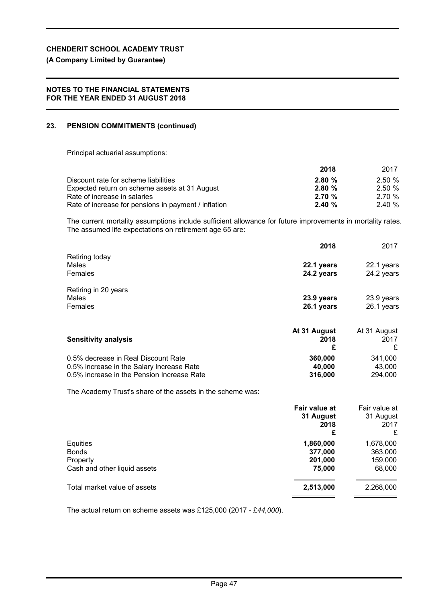## **(A Company Limited by Guarantee)**

### **NOTES TO THE FINANCIAL STATEMENTS FOR THE YEAR ENDED 31 AUGUST 2018**

## **23. PENSION COMMITMENTS (continued)**

Principal actuarial assumptions:

|                                                      | 2018  | 2017  |
|------------------------------------------------------|-------|-------|
| Discount rate for scheme liabilities                 | 2.80% | 2.50% |
| Expected return on scheme assets at 31 August        | 2.80% | 2.50% |
| Rate of increase in salaries                         | 2.70% | 2.70% |
| Rate of increase for pensions in payment / inflation | 2.40% | 2.40% |

The current mortality assumptions include sufficient allowance for future improvements in mortality rates. The assumed life expectations on retirement age 65 are:

|                                                                                                                                | 2018                         | 2017                         |
|--------------------------------------------------------------------------------------------------------------------------------|------------------------------|------------------------------|
| Retiring today<br>Males<br>Females                                                                                             | 22.1 years<br>24.2 years     | 22.1 years<br>24.2 years     |
| Retiring in 20 years<br>Males<br>Females                                                                                       | 23.9 years<br>26.1 years     | 23.9 years<br>26.1 years     |
| <b>Sensitivity analysis</b>                                                                                                    | At 31 August<br>2018<br>£    | At 31 August<br>2017<br>£    |
| 0.5% decrease in Real Discount Rate<br>0.5% increase in the Salary Increase Rate<br>0.5% increase in the Pension Increase Rate | 360,000<br>40,000<br>316,000 | 341,000<br>43,000<br>294.000 |

The Academy Trust's share of the assets in the scheme was:

|                                                                      | Fair value at<br>31 August<br>2018<br>£   | Fair value at<br>31 August<br>2017<br>£   |
|----------------------------------------------------------------------|-------------------------------------------|-------------------------------------------|
| Equities<br><b>Bonds</b><br>Property<br>Cash and other liquid assets | 1,860,000<br>377,000<br>201,000<br>75,000 | 1,678,000<br>363,000<br>159,000<br>68,000 |
| Total market value of assets                                         | 2,513,000                                 | 2,268,000                                 |

The actual return on scheme assets was £125,000 (2017 - £*44,000*).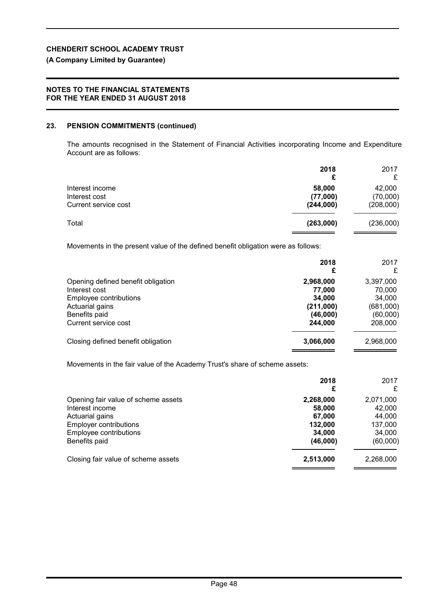## **(A Company Limited by Guarantee)**

## **NOTES TO THE FINANCIAL STATEMENTS FOR THE YEAR ENDED 31 AUGUST 2018**

## **23. PENSION COMMITMENTS (continued)**

The amounts recognised in the Statement of Financial Activities incorporating Income and Expenditure Account are as follows:

|                                                                                                                                           | 2018<br>£                                                         | 2017<br>£                                                         |
|-------------------------------------------------------------------------------------------------------------------------------------------|-------------------------------------------------------------------|-------------------------------------------------------------------|
| Interest income<br>Interest cost<br>Current service cost                                                                                  | 58,000<br>(77,000)<br>(244,000)                                   | 42,000<br>(70,000)<br>(208,000)                                   |
| Total                                                                                                                                     | (263,000)                                                         | (236,000)                                                         |
| Movements in the present value of the defined benefit obligation were as follows:                                                         |                                                                   |                                                                   |
|                                                                                                                                           | 2018<br>£                                                         | 2017<br>£                                                         |
| Opening defined benefit obligation<br>Interest cost<br>Employee contributions<br>Actuarial gains<br>Benefits paid<br>Current service cost | 2,968,000<br>77,000<br>34,000<br>(211,000)<br>(46,000)<br>244,000 | 3,397,000<br>70,000<br>34,000<br>(681,000)<br>(60,000)<br>208,000 |
| Closing defined benefit obligation                                                                                                        | 3,066,000                                                         | 2,968,000                                                         |

Movements in the fair value of the Academy Trust's share of scheme assets:

|                                     | 2018<br>£ | 2017<br>£ |
|-------------------------------------|-----------|-----------|
| Opening fair value of scheme assets | 2,268,000 | 2,071,000 |
| Interest income                     | 58,000    | 42,000    |
| Actuarial gains                     | 67.000    | 44,000    |
| <b>Employer contributions</b>       | 132,000   | 137,000   |
| Employee contributions              | 34,000    | 34,000    |
| Benefits paid                       | (46,000)  | (60,000)  |
| Closing fair value of scheme assets | 2,513,000 | 2,268,000 |